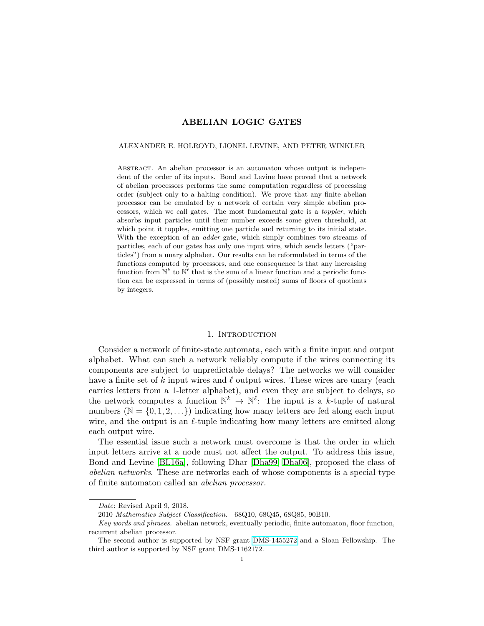# ABELIAN LOGIC GATES

#### ALEXANDER E. HOLROYD, LIONEL LEVINE, AND PETER WINKLER

Abstract. An abelian processor is an automaton whose output is independent of the order of its inputs. Bond and Levine have proved that a network of abelian processors performs the same computation regardless of processing order (subject only to a halting condition). We prove that any finite abelian processor can be emulated by a network of certain very simple abelian processors, which we call gates. The most fundamental gate is a toppler, which absorbs input particles until their number exceeds some given threshold, at which point it topples, emitting one particle and returning to its initial state. With the exception of an *adder* gate, which simply combines two streams of particles, each of our gates has only one input wire, which sends letters ("particles") from a unary alphabet. Our results can be reformulated in terms of the functions computed by processors, and one consequence is that any increasing function from  $\mathbb{N}^k$  to  $\mathbb{N}^{\ell}$  that is the sum of a linear function and a periodic function can be expressed in terms of (possibly nested) sums of floors of quotients by integers.

## 1. INTRODUCTION

Consider a network of finite-state automata, each with a finite input and output alphabet. What can such a network reliably compute if the wires connecting its components are subject to unpredictable delays? The networks we will consider have a finite set of k input wires and  $\ell$  output wires. These wires are unary (each carries letters from a 1-letter alphabet), and even they are subject to delays, so the network computes a function  $\mathbb{N}^k \to \mathbb{N}^\ell$ . The input is a k-tuple of natural numbers ( $\mathbb{N} = \{0, 1, 2, \ldots\}$ ) indicating how many letters are fed along each input wire, and the output is an  $\ell$ -tuple indicating how many letters are emitted along each output wire.

The essential issue such a network must overcome is that the order in which input letters arrive at a node must not affect the output. To address this issue, Bond and Levine [\[BL16a\]](#page-32-0), following Dhar [\[Dha99,](#page-33-0) [Dha06\]](#page-33-1), proposed the class of abelian networks. These are networks each of whose components is a special type of finite automaton called an abelian processor.

Date: Revised April 9, 2018.

<sup>2010</sup> Mathematics Subject Classification. 68Q10, 68Q45, 68Q85, 90B10.

Key words and phrases. abelian network, eventually periodic, finite automaton, floor function, recurrent abelian processor.

The second author is supported by NSF grant [DMS-1455272](http://www.nsf.gov/awardsearch/showAward?AWD_ID=1455272) and a Sloan Fellowship. The third author is supported by NSF grant DMS-1162172.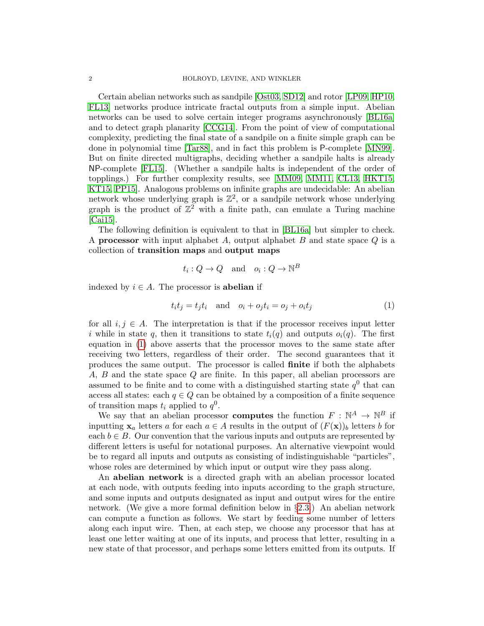Certain abelian networks such as sandpile [\[Ost03,](#page-33-2) [SD12\]](#page-33-3) and rotor [\[LP09,](#page-33-4) [HP10,](#page-33-5) [FL13\]](#page-33-6) networks produce intricate fractal outputs from a simple input. Abelian networks can be used to solve certain integer programs asynchronously [\[BL16a\]](#page-32-0) and to detect graph planarity [\[CCG14\]](#page-33-7). From the point of view of computational complexity, predicting the final state of a sandpile on a finite simple graph can be done in polynomial time [\[Tar88\]](#page-33-8), and in fact this problem is P-complete [\[MN99\]](#page-33-9). But on finite directed multigraphs, deciding whether a sandpile halts is already NP-complete [\[FL15\]](#page-33-10). (Whether a sandpile halts is independent of the order of topplings.) For further complexity results, see [\[MM09,](#page-33-11) [MM11,](#page-33-12) [CL13,](#page-32-1) [HKT15,](#page-33-13) [KT15,](#page-33-14) [PP15\]](#page-33-15). Analogous problems on infinite graphs are undecidable: An abelian network whose underlying graph is  $\mathbb{Z}^2$ , or a sandpile network whose underlying graph is the product of  $\mathbb{Z}^2$  with a finite path, can emulate a Turing machine [\[Cai15\]](#page-32-2).

The following definition is equivalent to that in [\[BL16a\]](#page-32-0) but simpler to check. A **processor** with input alphabet  $A$ , output alphabet  $B$  and state space  $Q$  is a collection of transition maps and output maps

<span id="page-1-0"></span>
$$
t_i: Q \to Q
$$
 and  $o_i: Q \to \mathbb{N}^B$ 

indexed by  $i \in A$ . The processor is **abelian** if

$$
t_i t_j = t_j t_i \quad \text{and} \quad o_i + o_j t_i = o_j + o_i t_j \tag{1}
$$

for all  $i, j \in A$ . The interpretation is that if the processor receives input letter i while in state q, then it transitions to state  $t_i(q)$  and outputs  $o_i(q)$ . The first equation in [\(1\)](#page-1-0) above asserts that the processor moves to the same state after receiving two letters, regardless of their order. The second guarantees that it produces the same output. The processor is called finite if both the alphabets A, B and the state space Q are finite. In this paper, all abelian processors are assumed to be finite and to come with a distinguished starting state  $q<sup>0</sup>$  that can access all states: each  $q \in Q$  can be obtained by a composition of a finite sequence of transition maps  $t_i$  applied to  $q^0$ .

We say that an abelian processor **computes** the function  $F : \mathbb{N}^A \to \mathbb{N}^B$  if inputting  $x_a$  letters a for each  $a \in A$  results in the output of  $(F(x))_b$  letters b for each  $b \in B$ . Our convention that the various inputs and outputs are represented by different letters is useful for notational purposes. An alternative viewpoint would be to regard all inputs and outputs as consisting of indistinguishable "particles", whose roles are determined by which input or output wire they pass along.

An abelian network is a directed graph with an abelian processor located at each node, with outputs feeding into inputs according to the graph structure, and some inputs and outputs designated as input and output wires for the entire network. (We give a more formal definition below in  $\S 2.3$ .) An abelian network can compute a function as follows. We start by feeding some number of letters along each input wire. Then, at each step, we choose any processor that has at least one letter waiting at one of its inputs, and process that letter, resulting in a new state of that processor, and perhaps some letters emitted from its outputs. If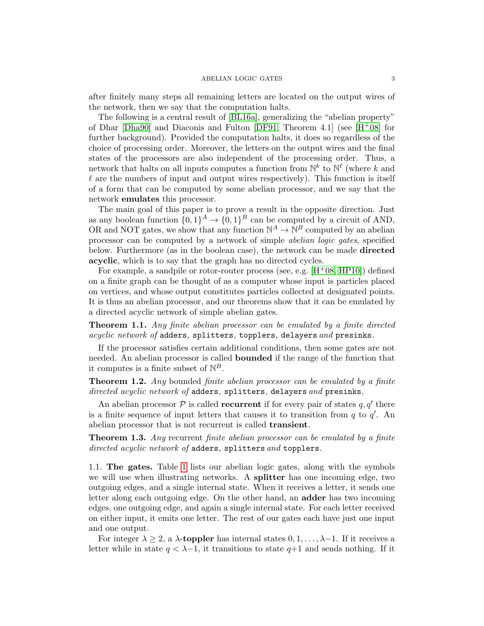after finitely many steps all remaining letters are located on the output wires of the network, then we say that the computation halts.

The following is a central result of [\[BL16a\]](#page-32-0), generalizing the "abelian property" of Dhar [\[Dha90\]](#page-33-16) and Diaconis and Fulton [\[DF91,](#page-33-17) Theorem 4.1] (see  $[H<sup>+</sup>08]$  $[H<sup>+</sup>08]$  for further background). Provided the computation halts, it does so regardless of the choice of processing order. Moreover, the letters on the output wires and the final states of the processors are also independent of the processing order. Thus, a network that halts on all inputs computes a function from  $\mathbb{N}^k$  to  $\mathbb{N}^{\ell}$  (where k and  $\ell$  are the numbers of input and output wires respectively). This function is itself of a form that can be computed by some abelian processor, and we say that the network emulates this processor.

The main goal of this paper is to prove a result in the opposite direction. Just as any boolean function  $\{0,1\}^A \to \{0,1\}^B$  can be computed by a circuit of AND, OR and NOT gates, we show that any function  $\mathbb{N}^A \to \mathbb{N}^B$  computed by an abelian processor can be computed by a network of simple abelian logic gates, specified below. Furthermore (as in the boolean case), the network can be made directed acyclic, which is to say that the graph has no directed cycles.

For example, a sandpile or rotor-router process (see, e.g.  $[H<sup>+</sup>08, HP10]$  $[H<sup>+</sup>08, HP10]$  $[H<sup>+</sup>08, HP10]$ ) defined on a finite graph can be thought of as a computer whose input is particles placed on vertices, and whose output constitutes particles collected at designated points. It is thus an abelian processor, and our theorems show that it can be emulated by a directed acyclic network of simple abelian gates.

<span id="page-2-0"></span>Theorem 1.1. Any finite abelian processor can be emulated by a finite directed acyclic network of adders, splitters, topplers, delayers and presinks.

If the processor satisfies certain additional conditions, then some gates are not needed. An abelian processor is called bounded if the range of the function that it computes is a finite subset of  $\mathbb{N}^B$ .

<span id="page-2-2"></span>**Theorem 1.2.** Any bounded finite abelian processor can be emulated by a finite directed acyclic network of adders, splitters, delayers and presinks.

An abelian processor  $P$  is called **recurrent** if for every pair of states  $q, q'$  there is a finite sequence of input letters that causes it to transition from  $q$  to  $q'$ . An abelian processor that is not recurrent is called transient.

<span id="page-2-1"></span>**Theorem 1.3.** Any recurrent finite abelian processor can be emulated by a finite directed acyclic network of adders, splitters and topplers.

1.1. The gates. Table [1](#page-3-0) lists our abelian logic gates, along with the symbols we will use when illustrating networks. A **splitter** has one incoming edge, two outgoing edges, and a single internal state. When it receives a letter, it sends one letter along each outgoing edge. On the other hand, an adder has two incoming edges, one outgoing edge, and again a single internal state. For each letter received on either input, it emits one letter. The rest of our gates each have just one input and one output.

For integer  $\lambda \geq 2$ , a  $\lambda$ -toppler has internal states  $0, 1, \ldots, \lambda-1$ . If it receives a letter while in state  $q < \lambda - 1$ , it transitions to state  $q+1$  and sends nothing. If it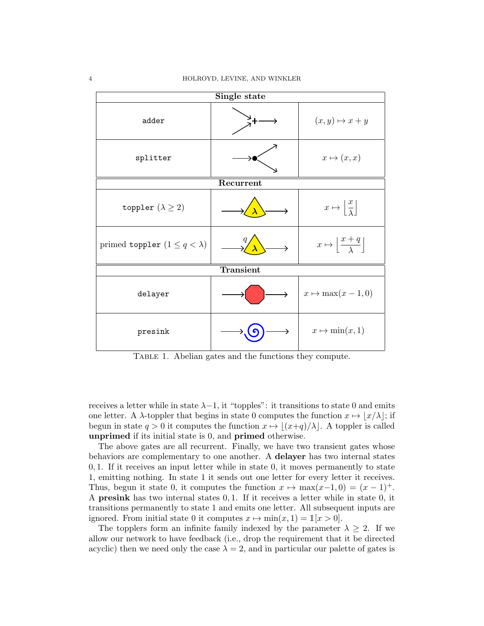

<span id="page-3-0"></span>TABLE 1. Abelian gates and the functions they compute.

receives a letter while in state  $\lambda-1$ , it "topples": it transitions to state 0 and emits one letter. A  $\lambda$ -toppler that begins in state 0 computes the function  $x \mapsto |x/\lambda|$ ; if begun in state  $q > 0$  it computes the function  $x \mapsto |(x+q)/\lambda|$ . A toppler is called unprimed if its initial state is 0, and primed otherwise.

The above gates are all recurrent. Finally, we have two transient gates whose behaviors are complementary to one another. A delayer has two internal states 0, 1. If it receives an input letter while in state 0, it moves permanently to state 1, emitting nothing. In state 1 it sends out one letter for every letter it receives. Thus, begun it state 0, it computes the function  $x \mapsto \max(x-1, 0) = (x - 1)^+$ . A presink has two internal states 0, 1. If it receives a letter while in state 0, it transitions permanently to state 1 and emits one letter. All subsequent inputs are ignored. From initial state 0 it computes  $x \mapsto \min(x, 1) = \mathbb{1}[x > 0].$ 

The topplers form an infinite family indexed by the parameter  $\lambda \geq 2$ . If we allow our network to have feedback (i.e., drop the requirement that it be directed acyclic) then we need only the case  $\lambda = 2$ , and in particular our palette of gates is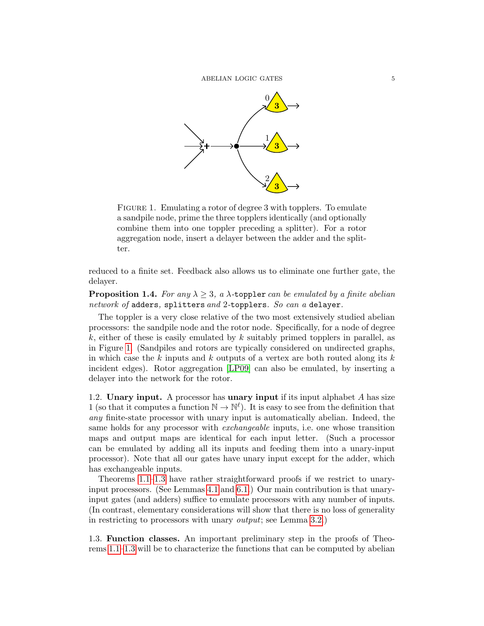

<span id="page-4-0"></span>FIGURE 1. Emulating a rotor of degree 3 with topplers. To emulate a sandpile node, prime the three topplers identically (and optionally combine them into one toppler preceding a splitter). For a rotor aggregation node, insert a delayer between the adder and the splitter.

reduced to a finite set. Feedback also allows us to eliminate one further gate, the delayer.

<span id="page-4-1"></span>**Proposition 1.4.** For any  $\lambda \geq 3$ , a  $\lambda$ -toppler can be emulated by a finite abelian network of adders, splitters and 2-topplers. So can a delayer.

The toppler is a very close relative of the two most extensively studied abelian processors: the sandpile node and the rotor node. Specifically, for a node of degree  $k$ , either of these is easily emulated by k suitably primed topplers in parallel, as in Figure [1.](#page-4-0) (Sandpiles and rotors are typically considered on undirected graphs, in which case the k inputs and k outputs of a vertex are both routed along its  $k$ incident edges). Rotor aggregation [\[LP09\]](#page-33-4) can also be emulated, by inserting a delayer into the network for the rotor.

1.2. Unary input. A processor has unary input if its input alphabet  $A$  has size 1 (so that it computes a function  $\mathbb{N} \to \mathbb{N}^{\ell}$ ). It is easy to see from the definition that any finite-state processor with unary input is automatically abelian. Indeed, the same holds for any processor with exchangeable inputs, i.e. one whose transition maps and output maps are identical for each input letter. (Such a processor can be emulated by adding all its inputs and feeding them into a unary-input processor). Note that all our gates have unary input except for the adder, which has exchangeable inputs.

Theorems [1.1–](#page-2-0)[1.3](#page-2-1) have rather straightforward proofs if we restrict to unaryinput processors. (See Lemmas [4.1](#page-14-0) and [6.1.](#page-20-0)) Our main contribution is that unaryinput gates (and adders) suffice to emulate processors with any number of inputs. (In contrast, elementary considerations will show that there is no loss of generality in restricting to processors with unary output; see Lemma [3.2.](#page-12-0))

1.3. Function classes. An important preliminary step in the proofs of Theorems [1.1–](#page-2-0)[1.3](#page-2-1) will be to characterize the functions that can be computed by abelian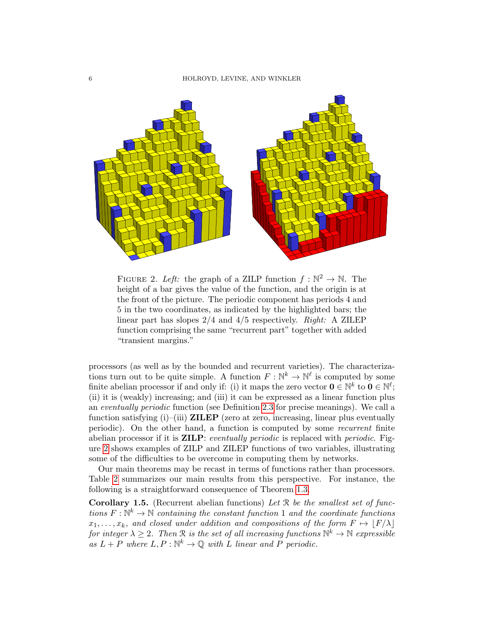

<span id="page-5-0"></span>FIGURE 2. Left: the graph of a ZILP function  $f : \mathbb{N}^2 \to \mathbb{N}$ . The height of a bar gives the value of the function, and the origin is at the front of the picture. The periodic component has periods 4 and 5 in the two coordinates, as indicated by the highlighted bars; the linear part has slopes 2/4 and 4/5 respectively. Right: A ZILEP function comprising the same "recurrent part" together with added "transient margins."

processors (as well as by the bounded and recurrent varieties). The characterizations turn out to be quite simple. A function  $F: \mathbb{N}^k \to \mathbb{N}^\ell$  is computed by some finite abelian processor if and only if: (i) it maps the zero vector  $\mathbf{0} \in \mathbb{N}^k$  to  $\mathbf{0} \in \mathbb{N}^{\ell}$ ; (ii) it is (weakly) increasing; and (iii) it can be expressed as a linear function plus an eventually periodic function (see Definition [2.3](#page-7-0) for precise meanings). We call a function satisfying (i)–(iii) **ZILEP** (zero at zero, increasing, linear plus eventually periodic). On the other hand, a function is computed by some recurrent finite abelian processor if it is **ZILP**: eventually periodic is replaced with periodic. Figure [2](#page-5-0) shows examples of ZILP and ZILEP functions of two variables, illustrating some of the difficulties to be overcome in computing them by networks.

Our main theorems may be recast in terms of functions rather than processors. Table [2](#page-6-0) summarizes our main results from this perspective. For instance, the following is a straightforward consequence of Theorem [1.3.](#page-2-1)

<span id="page-5-1"></span>**Corollary 1.5.** (Recurrent abelian functions) Let  $\mathcal{R}$  be the smallest set of functions  $F: \mathbb{N}^k \to \mathbb{N}$  containing the constant function 1 and the coordinate functions  $x_1, \ldots, x_k$ , and closed under addition and compositions of the form  $F \mapsto |F/\lambda|$ for integer  $\lambda \geq 2$ . Then R is the set of all increasing functions  $\mathbb{N}^k \to \mathbb{N}$  expressible as  $L + P$  where  $L, P : \mathbb{N}^k \to \mathbb{Q}$  with L linear and P periodic.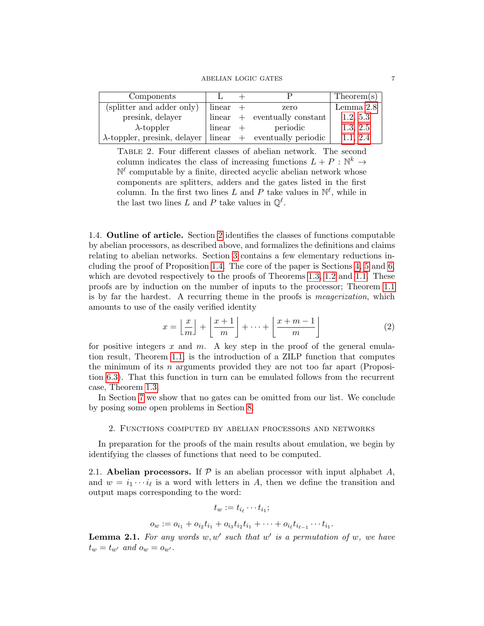$\begin{tabular}{ll} \bf ABELIAN\ LOGIC\ GATES \end{tabular} \begin{tabular}{ll} \bf 7 \\ \bf 7 \\ \bf 10 \\ \bf 21 \\ \bf 32 \\ \bf 43 \\ \bf 54 \\ \bf 65 \\ \bf 7 \\ \bf 87 \\ \bf 98 \\ \bf 108 \\ \bf 118 \\ \bf 128 \\ \bf 139 \\ \bf 148 \\ \bf 159 \\ \bf 169 \\ \bf 189 \\ \bf 199 \\ \bf 199 \\ \bf 199 \\ \bf 199 \\ \bf 199 \\ \bf 199 \\ \bf 199 \\ \bf 199 \\ \bf 199 \\ \bf 19$ 

| Components                                                          |            |                                | Theorem(s) |
|---------------------------------------------------------------------|------------|--------------------------------|------------|
| (splitter and adder only)                                           | $linear +$ | zero                           | Lemma 2.8  |
| presink, delayer                                                    |            | $linear + eventually constant$ | 1.2, 5.3   |
| $\lambda$ -toppler                                                  | $linear +$ | periodic                       | 1.3, 2.5   |
| $\lambda$ -toppler, presink, delayer   linear + eventually periodic |            |                                | 1.1, 2.4   |

<span id="page-6-0"></span>Table 2. Four different classes of abelian network. The second column indicates the class of increasing functions  $L + P : \mathbb{N}^k \to$  $\mathbb{N}^{\ell}$  computable by a finite, directed acyclic abelian network whose components are splitters, adders and the gates listed in the first column. In the first two lines L and P take values in  $\mathbb{N}^{\ell}$ , while in the last two lines L and P take values in  $\mathbb{Q}^{\ell}$ .

1.4. Outline of article. Section [2](#page-6-1) identifies the classes of functions computable by abelian processors, as described above, and formalizes the definitions and claims relating to abelian networks. Section [3](#page-11-1) contains a few elementary reductions including the proof of Proposition [1.4.](#page-4-1) The core of the paper is Sections [4,](#page-14-1) [5](#page-18-0) and [6,](#page-20-1) which are devoted respectively to the proofs of Theorems [1.3,](#page-2-1) [1.2](#page-2-2) and [1.1.](#page-2-0) These proofs are by induction on the number of inputs to the processor; Theorem [1.1](#page-2-0) is by far the hardest. A recurring theme in the proofs is meagerization, which amounts to use of the easily verified identity

<span id="page-6-2"></span>
$$
x = \left\lfloor \frac{x}{m} \right\rfloor + \left\lfloor \frac{x+1}{m} \right\rfloor + \dots + \left\lfloor \frac{x+m-1}{m} \right\rfloor \tag{2}
$$

for positive integers x and  $m$ . A key step in the proof of the general emulation result, Theorem [1.1,](#page-2-0) is the introduction of a ZILP function that computes the minimum of its n arguments provided they are not too far apart (Proposition [6.3\)](#page-23-0). That this function in turn can be emulated follows from the recurrent case, Theorem [1.3.](#page-2-1)

In Section [7](#page-28-0) we show that no gates can be omitted from our list. We conclude by posing some open problems in Section [8.](#page-31-0)

## 2. Functions computed by abelian processors and networks

<span id="page-6-1"></span>In preparation for the proofs of the main results about emulation, we begin by identifying the classes of functions that need to be computed.

2.1. Abelian processors. If  $\mathcal P$  is an abelian processor with input alphabet A, and  $w = i_1 \cdots i_\ell$  is a word with letters in A, then we define the transition and output maps corresponding to the word:

$$
t_w := t_{i_{\ell}} \cdots t_{i_1};
$$
  

$$
o_w := o_{i_1} + o_{i_2} t_{i_1} + o_{i_3} t_{i_2} t_{i_1} + \cdots + o_{i_{\ell}} t_{i_{\ell-1}} \cdots t_{i_1}.
$$

**Lemma 2.1.** For any words  $w, w'$  such that  $w'$  is a permutation of  $w$ , we have

 $t_w = t_{w'}$  and  $o_w = o_{w'}$ .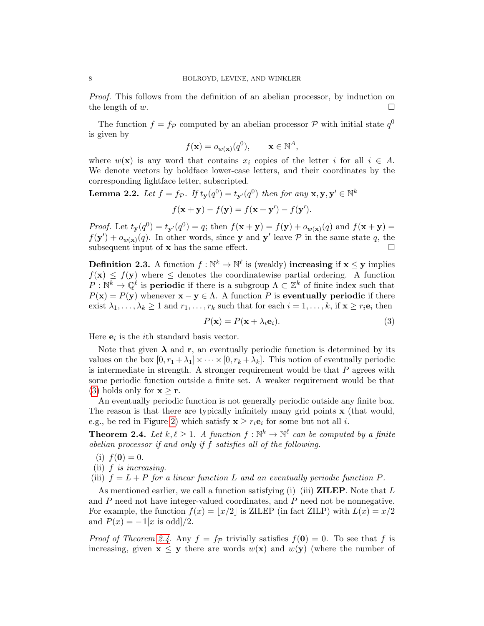Proof. This follows from the definition of an abelian processor, by induction on the length of  $w$ .

The function  $f = f_{\mathcal{P}}$  computed by an abelian processor  $\mathcal{P}$  with initial state  $q^0$ is given by

$$
f(\mathbf{x}) = o_{w(\mathbf{x})}(q^0), \qquad \mathbf{x} \in \mathbb{N}^A,
$$

where  $w(\mathbf{x})$  is any word that contains  $x_i$  copies of the letter i for all  $i \in A$ . We denote vectors by boldface lower-case letters, and their coordinates by the corresponding lightface letter, subscripted.

<span id="page-7-3"></span>**Lemma 2.2.** Let  $f = f_{\mathcal{P}}$ . If  $t_{\mathbf{y}}(q^0) = t_{\mathbf{y}'}(q^0)$  then for any  $\mathbf{x}, \mathbf{y}, \mathbf{y}' \in \mathbb{N}^k$  $f(\mathbf{x} + \mathbf{y}) - f(\mathbf{y}) = f(\mathbf{x} + \mathbf{y}') - f(\mathbf{y}').$ 

*Proof.* Let  $t_{\mathbf{y}}(q^0) = t_{\mathbf{y}}(q^0) = q$ ; then  $f(\mathbf{x} + \mathbf{y}) = f(\mathbf{y}) + o_{w(\mathbf{x})}(q)$  and  $f(\mathbf{x} + \mathbf{y}) =$  $f(\mathbf{y}') + o_{w(\mathbf{x})}(q)$ . In other words, since y and y' leave P in the same state q, the subsequent input of  $x$  has the same effect.  $\Box$ 

<span id="page-7-0"></span>**Definition 2.3.** A function  $f: \mathbb{N}^k \to \mathbb{N}^\ell$  is (weakly) **increasing** if  $\mathbf{x} \leq \mathbf{y}$  implies  $f(\mathbf{x}) \leq f(\mathbf{y})$  where  $\leq$  denotes the coordinatewise partial ordering. A function  $P: \mathbb{N}^k \to \mathbb{Q}^{\ell}$  is **periodic** if there is a subgroup  $\Lambda \subset \mathbb{Z}^k$  of finite index such that  $P(x) = P(y)$  whenever  $x - y \in \Lambda$ . A function P is **eventually periodic** if there exist  $\lambda_1, \ldots, \lambda_k \geq 1$  and  $r_1, \ldots, r_k$  such that for each  $i = 1, \ldots, k$ , if  $\mathbf{x} \geq r_i \mathbf{e}_i$  then

<span id="page-7-2"></span>
$$
P(\mathbf{x}) = P(\mathbf{x} + \lambda_i \mathbf{e}_i). \tag{3}
$$

Here  $e_i$  is the *i*<sup>th</sup> standard basis vector.

Note that given  $\lambda$  and r, an eventually periodic function is determined by its values on the box  $[0, r_1 + \lambda_1] \times \cdots \times [0, r_k + \lambda_k]$ . This notion of eventually periodic is intermediate in strength. A stronger requirement would be that  $P$  agrees with some periodic function outside a finite set. A weaker requirement would be that [\(3\)](#page-7-2) holds only for  $\mathbf{x} \geq \mathbf{r}$ .

An eventually periodic function is not generally periodic outside any finite box. The reason is that there are typically infinitely many grid points x (that would, e.g., be red in Figure [2\)](#page-5-0) which satisfy  $\mathbf{x} \geq r_i \mathbf{e}_i$  for some but not all *i*.

<span id="page-7-1"></span>**Theorem 2.4.** Let  $k, \ell \geq 1$ . A function  $f : \mathbb{N}^k \to \mathbb{N}^{\ell}$  can be computed by a finite abelian processor if and only if f satisfies all of the following.

- (i)  $f(\mathbf{0}) = 0$ .
- (ii)  $f$  is increasing.
- (iii)  $f = L + P$  for a linear function L and an eventually periodic function P.

As mentioned earlier, we call a function satisfying (i)–(iii) **ZILEP**. Note that L and P need not have integer-valued coordinates, and P need not be nonnegative. For example, the function  $f(x) = |x/2|$  is ZILEP (in fact ZILP) with  $L(x) = x/2$ and  $P(x) = -\mathbb{1}[x \text{ is odd}]/2$ .

*Proof of Theorem [2.4.](#page-7-1)* Any  $f = f_p$  trivially satisfies  $f(0) = 0$ . To see that f is increasing, given  $\mathbf{x} \leq \mathbf{y}$  there are words  $w(\mathbf{x})$  and  $w(\mathbf{y})$  (where the number of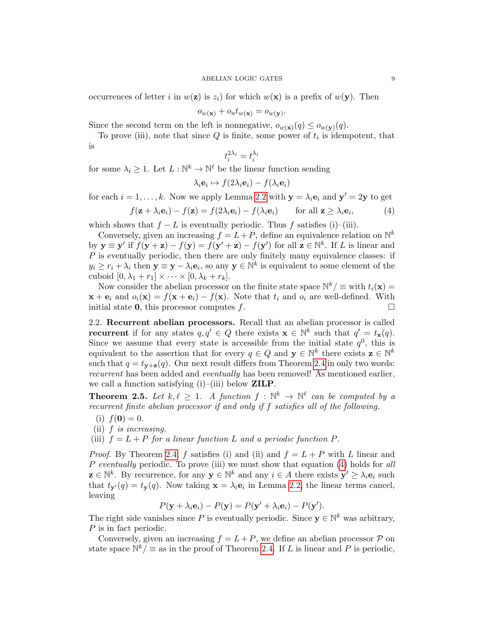occurrences of letter i in  $w(\mathbf{z})$  is  $z_i$  for which  $w(\mathbf{x})$  is a prefix of  $w(\mathbf{y})$ . Then

$$
o_{w(\mathbf{x})} + o_u t_{w(\mathbf{x})} = o_{w(\mathbf{y})}.
$$

Since the second term on the left is nonnegative,  $o_{w(\mathbf{x})}(q) \leq o_{w(\mathbf{y})}(q)$ .

To prove (iii), note that since  $Q$  is finite, some power of  $t_i$  is idempotent, that is

<span id="page-8-1"></span>
$$
t_i^{2\lambda_i} = t_i^{\lambda_i}
$$

for some  $\lambda_i \geq 1$ . Let  $L : \mathbb{N}^k \to \mathbb{N}^\ell$  be the linear function sending

$$
\lambda_i \mathbf{e}_i \mapsto f(2\lambda_i \mathbf{e}_i) - f(\lambda_i \mathbf{e}_i)
$$

for each  $i = 1, ..., k$ . Now we apply Lemma [2.2](#page-7-3) with  $y = \lambda_i e_i$  and  $y' = 2y$  to get

$$
f(\mathbf{z} + \lambda_i \mathbf{e}_i) - f(\mathbf{z}) = f(2\lambda_i \mathbf{e}_i) - f(\lambda_i \mathbf{e}_i) \quad \text{for all } \mathbf{z} \ge \lambda_i \mathbf{e}_i,
$$
 (4)

which shows that  $f - L$  is eventually periodic. Thus f satisfies (i)–(iii).

Conversely, given an increasing  $f = L + P$ , define an equivalence relation on  $\mathbb{N}^k$ by  $y \equiv y'$  if  $f(y + z) - f(y) = f(y' + z) - f(y')$  for all  $z \in \mathbb{N}^k$ . If L is linear and  $P$  is eventually periodic, then there are only finitely many equivalence classes: if  $y_i \geq r_i + \lambda_i$  then  $\mathbf{y} \equiv \mathbf{y} - \lambda_i \mathbf{e}_i$ , so any  $\mathbf{y} \in \mathbb{N}^k$  is equivalent to some element of the cuboid  $[0, \lambda_1 + r_1] \times \cdots \times [0, \lambda_k + r_k]$ .

Now consider the abelian processor on the finite state space  $\mathbb{N}^k/\equiv$  with  $t_i(\mathbf{x})=$  $\mathbf{x} + \mathbf{e}_i$  and  $o_i(\mathbf{x}) = f(\mathbf{x} + \mathbf{e}_i) - f(\mathbf{x})$ . Note that  $t_i$  and  $o_i$  are well-defined. With initial state **0**, this processor computes f.  $\Box$ 

2.2. Recurrent abelian processors. Recall that an abelian processor is called **recurrent** if for any states  $q, q' \in Q$  there exists  $\mathbf{x} \in \mathbb{N}^k$  such that  $q' = t_{\mathbf{x}}(q)$ . Since we assume that every state is accessible from the initial state  $q<sup>0</sup>$ , this is equivalent to the assertion that for every  $q \in Q$  and  $\mathbf{y} \in \mathbb{N}^k$  there exists  $\mathbf{z} \in \mathbb{N}^k$ such that  $q = t_{v+z}(q)$ . Our next result differs from Theorem [2.4](#page-7-1) in only two words: recurrent has been added and eventually has been removed! As mentioned earlier, we call a function satisfying  $(i)$ –(iii) below **ZILP**.

<span id="page-8-0"></span>**Theorem 2.5.** Let  $k, \ell \geq 1$ . A function  $f : \mathbb{N}^k \to \mathbb{N}^{\ell}$  can be computed by a recurrent finite abelian processor if and only if f satisfies all of the following.

- (i)  $f(\mathbf{0}) = 0$ .
- (ii) f is increasing.
- (iii)  $f = L + P$  for a linear function L and a periodic function P.

*Proof.* By Theorem [2.4,](#page-7-1) f satisfies (i) and (ii) and  $f = L + P$  with L linear and P eventually periodic. To prove (iii) we must show that equation [\(4\)](#page-8-1) holds for all  $\mathbf{z} \in \mathbb{N}^k$ . By recurrence, for any  $\mathbf{y} \in \mathbb{N}^k$  and any  $i \in A$  there exists  $\mathbf{y}' \geq \lambda_i \mathbf{e}_i$  such that  $t_{\mathbf{y}}(q) = t_{\mathbf{y}}(q)$ . Now taking  $\mathbf{x} = \lambda_i \mathbf{e}_i$  in Lemma [2.2,](#page-7-3) the linear terms cancel, leaving

$$
P(\mathbf{y} + \lambda_i \mathbf{e}_i) - P(\mathbf{y}) = P(\mathbf{y}' + \lambda_i \mathbf{e}_i) - P(\mathbf{y}').
$$

The right side vanishes since P is eventually periodic. Since  $y \in \mathbb{N}^k$  was arbitrary, P is in fact periodic.

Conversely, given an increasing  $f = L + P$ , we define an abelian processor  $P$  on state space  $\mathbb{N}^k/\equiv$  as in the proof of Theorem [2.4.](#page-7-1) If L is linear and P is periodic,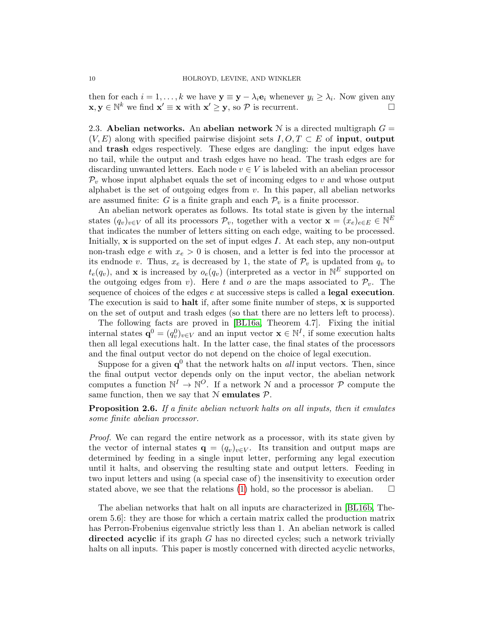then for each  $i = 1, ..., k$  we have  $\mathbf{y} \equiv \mathbf{y} - \lambda_i \mathbf{e}_i$  whenever  $y_i \geq \lambda_i$ . Now given any  $\mathbf{x}, \mathbf{y} \in \mathbb{N}^k$  we find  $\mathbf{x}' \equiv \mathbf{x}$  with  $\mathbf{x}' \geq \mathbf{y}$ , so  $\mathcal{P}$  is recurrent.

<span id="page-9-0"></span>2.3. Abelian networks. An abelian network N is a directed multigraph  $G =$  $(V, E)$  along with specified pairwise disjoint sets  $I, O, T \subset E$  of **input, output** and trash edges respectively. These edges are dangling: the input edges have no tail, while the output and trash edges have no head. The trash edges are for discarding unwanted letters. Each node  $v \in V$  is labeled with an abelian processor  $\mathcal{P}_v$  whose input alphabet equals the set of incoming edges to v and whose output alphabet is the set of outgoing edges from  $v$ . In this paper, all abelian networks are assumed finite: G is a finite graph and each  $\mathcal{P}_v$  is a finite processor.

An abelian network operates as follows. Its total state is given by the internal states  $(q_v)_{v \in V}$  of all its processors  $\mathcal{P}_v$ , together with a vector  $\mathbf{x} = (x_e)_{e \in E} \in \mathbb{N}^E$ that indicates the number of letters sitting on each edge, waiting to be processed. Initially,  $\bf{x}$  is supported on the set of input edges I. At each step, any non-output non-trash edge e with  $x_e > 0$  is chosen, and a letter is fed into the processor at its endnode v. Thus,  $x_e$  is decreased by 1, the state of  $\mathcal{P}_v$  is updated from  $q_v$  to  $t_e(q_v)$ , and **x** is increased by  $o_e(q_v)$  (interpreted as a vector in  $\mathbb{N}^E$  supported on the outgoing edges from v). Here t and o are the maps associated to  $\mathcal{P}_v$ . The sequence of choices of the edges e at successive steps is called a legal execution. The execution is said to halt if, after some finite number of steps, x is supported on the set of output and trash edges (so that there are no letters left to process).

The following facts are proved in [\[BL16a,](#page-32-0) Theorem 4.7]. Fixing the initial internal states  $\mathbf{q}^0 = (q_v^0)_{v \in V}$  and an input vector  $\mathbf{x} \in \mathbb{N}^I$ , if some execution halts then all legal executions halt. In the latter case, the final states of the processors and the final output vector do not depend on the choice of legal execution.

Suppose for a given  $q^0$  that the network halts on *all* input vectors. Then, since the final output vector depends only on the input vector, the abelian network computes a function  $\mathbb{N}^I \to \mathbb{N}^O$ . If a network N and a processor P compute the same function, then we say that  $N$  emulates  $P$ .

<span id="page-9-1"></span>**Proposition 2.6.** If a finite abelian network halts on all inputs, then it emulates some finite abelian processor.

Proof. We can regard the entire network as a processor, with its state given by the vector of internal states  $\mathbf{q} = (q_v)_{v \in V}$ . Its transition and output maps are determined by feeding in a single input letter, performing any legal execution until it halts, and observing the resulting state and output letters. Feeding in two input letters and using (a special case of) the insensitivity to execution order stated above, we see that the relations [\(1\)](#page-1-0) hold, so the processor is abelian.  $\square$ 

The abelian networks that halt on all inputs are characterized in [\[BL16b,](#page-32-3) Theorem 5.6]: they are those for which a certain matrix called the production matrix has Perron-Frobenius eigenvalue strictly less than 1. An abelian network is called directed acyclic if its graph G has no directed cycles; such a network trivially halts on all inputs. This paper is mostly concerned with directed acyclic networks,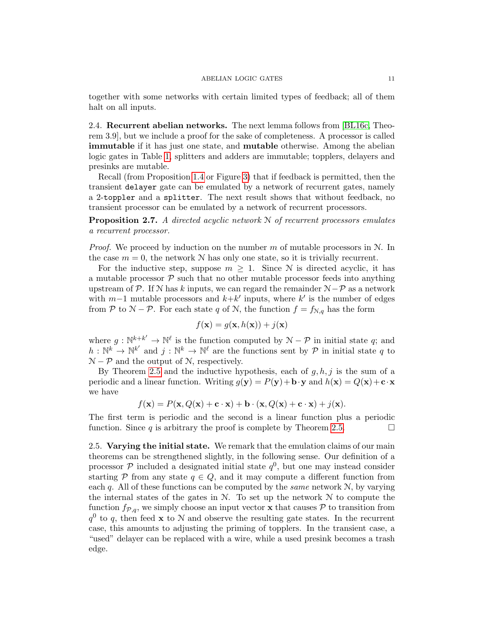together with some networks with certain limited types of feedback; all of them halt on all inputs.

2.4. Recurrent abelian networks. The next lemma follows from [\[BL16c,](#page-32-4) Theorem 3.9], but we include a proof for the sake of completeness. A processor is called immutable if it has just one state, and mutable otherwise. Among the abelian logic gates in Table [1,](#page-3-0) splitters and adders are immutable; topplers, delayers and presinks are mutable.

Recall (from Proposition [1.4](#page-4-1) or Figure [3\)](#page-13-0) that if feedback is permitted, then the transient delayer gate can be emulated by a network of recurrent gates, namely a 2-toppler and a splitter. The next result shows that without feedback, no transient processor can be emulated by a network of recurrent processors.

<span id="page-10-0"></span>**Proposition 2.7.** A directed acyclic network  $\mathcal N$  of recurrent processors emulates a recurrent processor.

*Proof.* We proceed by induction on the number m of mutable processors in  $N$ . In the case  $m = 0$ , the network N has only one state, so it is trivially recurrent.

For the inductive step, suppose  $m \geq 1$ . Since N is directed acyclic, it has a mutable processor  $P$  such that no other mutable processor feeds into anything upstream of P. If N has k inputs, we can regard the remainder  $N-\mathcal{P}$  as a network with  $m-1$  mutable processors and  $k+k'$  inputs, where k' is the number of edges from P to  $N - P$ . For each state q of N, the function  $f = f_{N,q}$  has the form

$$
f(\mathbf{x}) = g(\mathbf{x}, h(\mathbf{x})) + j(\mathbf{x})
$$

where  $g: \mathbb{N}^{k+k'} \to \mathbb{N}^{\ell}$  is the function computed by  $\mathcal{N} - \mathcal{P}$  in initial state q; and  $h: \mathbb{N}^k \to \mathbb{N}^{k'}$  and  $j: \mathbb{N}^k \to \mathbb{N}^{\ell}$  are the functions sent by  $\mathcal P$  in initial state q to  $N - P$  and the output of N, respectively.

By Theorem [2.5](#page-8-0) and the inductive hypothesis, each of  $q, h, j$  is the sum of a periodic and a linear function. Writing  $g(\mathbf{y}) = P(\mathbf{y}) + \mathbf{b} \cdot \mathbf{y}$  and  $h(\mathbf{x}) = Q(\mathbf{x}) + \mathbf{c} \cdot \mathbf{x}$ we have

$$
f(\mathbf{x}) = P(\mathbf{x}, Q(\mathbf{x}) + \mathbf{c} \cdot \mathbf{x}) + \mathbf{b} \cdot (\mathbf{x}, Q(\mathbf{x}) + \mathbf{c} \cdot \mathbf{x}) + j(\mathbf{x}).
$$

The first term is periodic and the second is a linear function plus a periodic function. Since q is arbitrary the proof is complete by Theorem [2.5.](#page-8-0)  $\Box$ 

2.5. Varying the initial state. We remark that the emulation claims of our main theorems can be strengthened slightly, in the following sense. Our definition of a processor  $P$  included a designated initial state  $q^0$ , but one may instead consider starting P from any state  $q \in Q$ , and it may compute a different function from each  $q$ . All of these functions can be computed by the *same* network  $N$ , by varying the internal states of the gates in  $N$ . To set up the network  $N$  to compute the function  $f_{\mathcal{P},q}$ , we simply choose an input vector **x** that causes  $\mathcal{P}$  to transition from  $q^0$  to q, then feed **x** to N and observe the resulting gate states. In the recurrent case, this amounts to adjusting the priming of topplers. In the transient case, a "used" delayer can be replaced with a wire, while a used presink becomes a trash edge.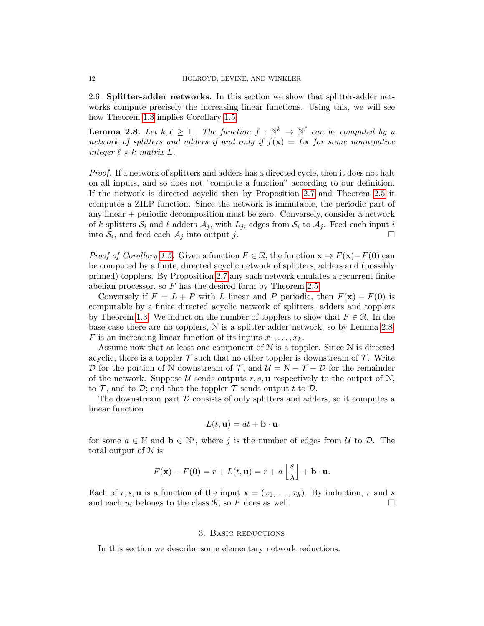<span id="page-11-2"></span>2.6. Splitter-adder networks. In this section we show that splitter-adder networks compute precisely the increasing linear functions. Using this, we will see how Theorem [1.3](#page-2-1) implies Corollary [1.5.](#page-5-1)

<span id="page-11-0"></span>**Lemma 2.8.** Let  $k, \ell \geq 1$ . The function  $f : \mathbb{N}^k \to \mathbb{N}^{\ell}$  can be computed by a network of splitters and adders if and only if  $f(\mathbf{x}) = L\mathbf{x}$  for some nonnegative integer  $\ell \times k$  matrix L.

Proof. If a network of splitters and adders has a directed cycle, then it does not halt on all inputs, and so does not "compute a function" according to our definition. If the network is directed acyclic then by Proposition [2.7](#page-10-0) and Theorem [2.5](#page-8-0) it computes a ZILP function. Since the network is immutable, the periodic part of any linear + periodic decomposition must be zero. Conversely, consider a network of k splitters  $S_i$  and  $\ell$  adders  $A_j$ , with  $L_{ji}$  edges from  $S_i$  to  $A_j$ . Feed each input i into  $S_i$ , and feed each  $A_j$  into output j.

*Proof of Corollary [1.5.](#page-5-1)* Given a function  $F \in \mathcal{R}$ , the function  $\mathbf{x} \mapsto F(\mathbf{x})-F(\mathbf{0})$  can be computed by a finite, directed acyclic network of splitters, adders and (possibly primed) topplers. By Proposition [2.7](#page-10-0) any such network emulates a recurrent finite abelian processor, so  $F$  has the desired form by Theorem [2.5.](#page-8-0)

Conversely if  $F = L + P$  with L linear and P periodic, then  $F(\mathbf{x}) - F(\mathbf{0})$  is computable by a finite directed acyclic network of splitters, adders and topplers by Theorem [1.3.](#page-2-1) We induct on the number of topplers to show that  $F \in \mathcal{R}$ . In the base case there are no topplers,  $\mathcal N$  is a splitter-adder network, so by Lemma [2.8,](#page-11-0) F is an increasing linear function of its inputs  $x_1, \ldots, x_k$ .

Assume now that at least one component of  $N$  is a toppler. Since  $N$  is directed acyclic, there is a toppler  $\mathcal T$  such that no other toppler is downstream of  $\mathcal T$ . Write D for the portion of N downstream of T, and  $\mathcal{U} = \mathcal{N} - \mathcal{T} - \mathcal{D}$  for the remainder of the network. Suppose U sends outputs r, s, **u** respectively to the output of N, to  $\mathcal T$ , and to  $\mathcal D$ ; and that the toppler  $\mathcal T$  sends output t to  $\mathcal D$ .

The downstream part  $D$  consists of only splitters and adders, so it computes a linear function

$$
L(t, \mathbf{u}) = at + \mathbf{b} \cdot \mathbf{u}
$$

for some  $a \in \mathbb{N}$  and  $\mathbf{b} \in \mathbb{N}^j$ , where j is the number of edges from U to D. The total output of N is

$$
F(\mathbf{x}) - F(\mathbf{0}) = r + L(t, \mathbf{u}) = r + a \left\lfloor \frac{s}{\lambda} \right\rfloor + \mathbf{b} \cdot \mathbf{u}.
$$

Each of r, s, **u** is a function of the input  $\mathbf{x} = (x_1, \ldots, x_k)$ . By induction, r and s and each  $u_i$  belongs to the class R, so F does as well.

#### 3. Basic reductions

<span id="page-11-1"></span>In this section we describe some elementary network reductions.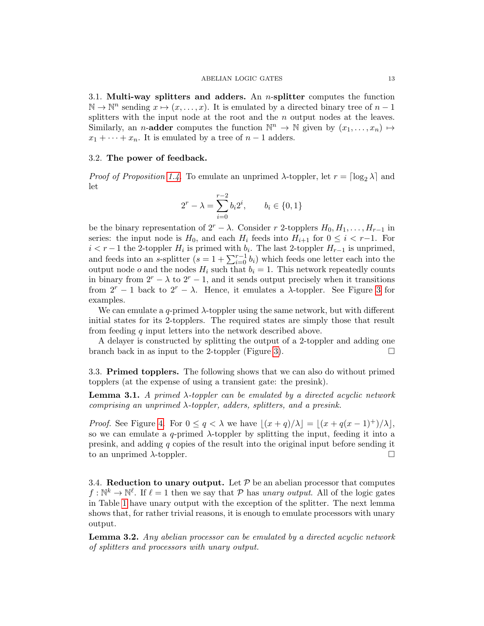3.1. Multi-way splitters and adders. An  $n$ -splitter computes the function  $\mathbb{N} \to \mathbb{N}^n$  sending  $x \mapsto (x, \ldots, x)$ . It is emulated by a directed binary tree of  $n-1$ splitters with the input node at the root and the n output nodes at the leaves. Similarly, an *n*-**adder** computes the function  $\mathbb{N}^n \to \mathbb{N}$  given by  $(x_1, \ldots, x_n) \mapsto$  $x_1 + \cdots + x_n$ . It is emulated by a tree of  $n-1$  adders.

### 3.2. The power of feedback.

*Proof of Proposition [1.4.](#page-4-1)* To emulate an unprimed  $\lambda$ -toppler, let  $r = \lceil \log_2 \lambda \rceil$  and let

$$
2^{r} - \lambda = \sum_{i=0}^{r-2} b_i 2^i, \qquad b_i \in \{0, 1\}
$$

be the binary representation of  $2^r - \lambda$ . Consider r 2-topplers  $H_0, H_1, \ldots, H_{r-1}$  in series: the input node is  $H_0$ , and each  $H_i$  feeds into  $H_{i+1}$  for  $0 \leq i \leq r-1$ . For  $i < r-1$  the 2-toppler  $H_i$  is primed with  $b_i$ . The last 2-toppler  $H_{r-1}$  is unprimed, and feeds into an s-splitter  $(s = 1 + \sum_{i=0}^{r-1} b_i)$  which feeds one letter each into the output node o and the nodes  $H_i$  such that  $b_i = 1$ . This network repeatedly counts in binary from  $2^r - \lambda$  to  $2^r - 1$ , and it sends output precisely when it transitions from  $2^r - 1$  back to  $2^r - \lambda$ . Hence, it emulates a  $\lambda$ -toppler. See Figure [3](#page-13-0) for examples.

We can emulate a q-primed  $\lambda$ -toppler using the same network, but with different initial states for its 2-topplers. The required states are simply those that result from feeding q input letters into the network described above.

A delayer is constructed by splitting the output of a 2-toppler and adding one branch back in as input to the 2-toppler (Figure [3\)](#page-13-0).  $\Box$ 

3.3. Primed topplers. The following shows that we can also do without primed topplers (at the expense of using a transient gate: the presink).

<span id="page-12-1"></span>**Lemma 3.1.** A primed  $\lambda$ -toppler can be emulated by a directed acyclic network comprising an unprimed  $\lambda$ -toppler, adders, splitters, and a presink.

*Proof.* See Figure [4.](#page-13-1) For  $0 \le q < \lambda$  we have  $|(x + q)/\lambda| = |(x + q(x - 1)^{+})/\lambda|$ , so we can emulate a  $q$ -primed  $\lambda$ -toppler by splitting the input, feeding it into a presink, and adding q copies of the result into the original input before sending it to an unprimed  $\lambda$ -toppler.

3.4. Reduction to unary output. Let  $P$  be an abelian processor that computes  $f: \mathbb{N}^k \to \mathbb{N}^\ell$ . If  $\ell = 1$  then we say that P has unary output. All of the logic gates in Table [1](#page-3-0) have unary output with the exception of the splitter. The next lemma shows that, for rather trivial reasons, it is enough to emulate processors with unary output.

<span id="page-12-0"></span>Lemma 3.2. Any abelian processor can be emulated by a directed acyclic network of splitters and processors with unary output.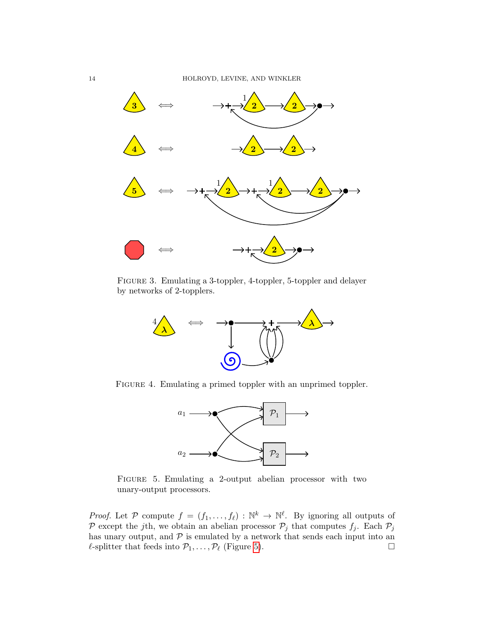

Figure 3. Emulating a 3-toppler, 4-toppler, 5-toppler and delayer by networks of 2-topplers.

<span id="page-13-0"></span>

FIGURE 4. Emulating a primed toppler with an unprimed toppler.

<span id="page-13-1"></span>

<span id="page-13-2"></span>Figure 5. Emulating a 2-output abelian processor with two unary-output processors.

*Proof.* Let P compute  $f = (f_1, \ldots, f_\ell) : \mathbb{N}^k \to \mathbb{N}^\ell$ . By ignoring all outputs of P except the jth, we obtain an abelian processor  $\mathcal{P}_j$  that computes  $f_j$ . Each  $\mathcal{P}_j$ has unary output, and  $P$  is emulated by a network that sends each input into an  $\ell$ -splitter that feeds into  $\mathcal{P}_1, \ldots, \mathcal{P}_\ell$  (Figure [5\)](#page-13-2).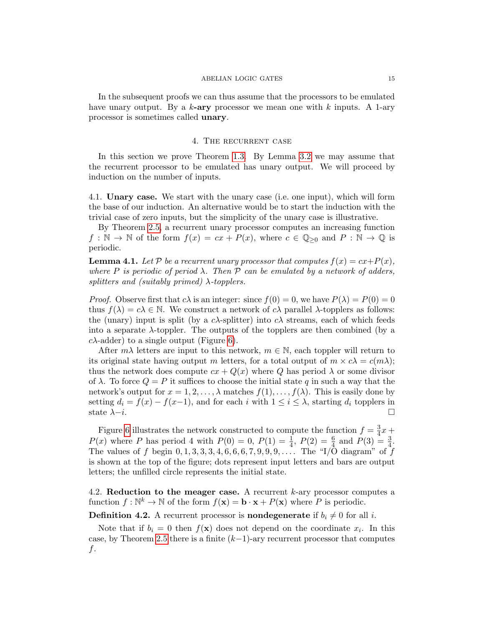#### ABELIAN LOGIC GATES 15

In the subsequent proofs we can thus assume that the processors to be emulated have unary output. By a  $k$ -ary processor we mean one with  $k$  inputs. A 1-ary processor is sometimes called unary.

### 4. The recurrent case

<span id="page-14-1"></span>In this section we prove Theorem [1.3.](#page-2-1) By Lemma [3.2](#page-12-0) we may assume that the recurrent processor to be emulated has unary output. We will proceed by induction on the number of inputs.

4.1. Unary case. We start with the unary case (i.e. one input), which will form the base of our induction. An alternative would be to start the induction with the trivial case of zero inputs, but the simplicity of the unary case is illustrative.

By Theorem [2.5,](#page-8-0) a recurrent unary processor computes an increasing function  $f : \mathbb{N} \to \mathbb{N}$  of the form  $f(x) = cx + P(x)$ , where  $c \in \mathbb{Q}_{\geq 0}$  and  $P : \mathbb{N} \to \mathbb{Q}$  is periodic.

<span id="page-14-0"></span>**Lemma 4.1.** Let P be a recurrent unary processor that computes  $f(x) = cx + P(x)$ , where P is periodic of period  $\lambda$ . Then P can be emulated by a network of adders, splitters and (suitably primed)  $\lambda$ -topplers.

*Proof.* Observe first that  $c\lambda$  is an integer: since  $f(0) = 0$ , we have  $P(\lambda) = P(0) = 0$ thus  $f(\lambda) = c\lambda \in \mathbb{N}$ . We construct a network of  $c\lambda$  parallel  $\lambda$ -topplers as follows: the (unary) input is split (by a c $\lambda$ -splitter) into  $c\lambda$  streams, each of which feeds into a separate  $\lambda$ -toppler. The outputs of the topplers are then combined (by a  $c\lambda$ -adder) to a single output (Figure [6\)](#page-15-0).

After  $m\lambda$  letters are input to this network,  $m \in \mathbb{N}$ , each toppler will return to its original state having output m letters, for a total output of  $m \times c\lambda = c(m\lambda)$ ; thus the network does compute  $cx + Q(x)$  where Q has period  $\lambda$  or some divisor of  $\lambda$ . To force  $Q = P$  it suffices to choose the initial state q in such a way that the network's output for  $x = 1, 2, \ldots, \lambda$  matches  $f(1), \ldots, f(\lambda)$ . This is easily done by setting  $d_i = f(x) - f(x-1)$ , and for each i with  $1 \leq i \leq \lambda$ , starting  $d_i$  topplers in state  $\lambda - i$ .

Figure [6](#page-15-0) illustrates the network constructed to compute the function  $f = \frac{3}{4}$  $\frac{3}{4}x +$  $P(x)$  where P has period 4 with  $P(0) = 0$ ,  $P(1) = \frac{1}{4}$ ,  $P(2) = \frac{6}{4}$  and  $P(3) = \frac{3}{4}$ . The values of f begin  $0, 1, 3, 3, 3, 4, 6, 6, 6, 7, 9, 9, 9, \ldots$  The "I/O diagram" of f is shown at the top of the figure; dots represent input letters and bars are output letters; the unfilled circle represents the initial state.

4.2. Reduction to the meager case. A recurrent  $k$ -ary processor computes a function  $f: \mathbb{N}^k \to \mathbb{N}$  of the form  $f(\mathbf{x}) = \mathbf{b} \cdot \mathbf{x} + P(\mathbf{x})$  where P is periodic.

**Definition 4.2.** A recurrent processor is **nondegenerate** if  $b_i \neq 0$  for all i.

Note that if  $b_i = 0$  then  $f(\mathbf{x})$  does not depend on the coordinate  $x_i$ . In this case, by Theorem [2.5](#page-8-0) there is a finite  $(k-1)$ -ary recurrent processor that computes f.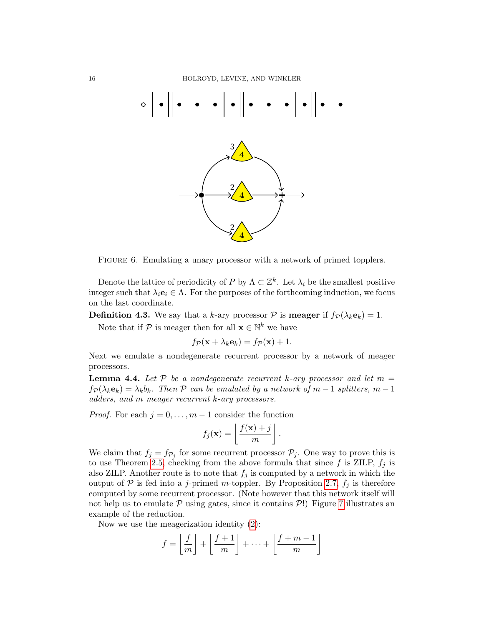

<span id="page-15-0"></span>FIGURE 6. Emulating a unary processor with a network of primed topplers.

Denote the lattice of periodicity of P by  $\Lambda \subset \mathbb{Z}^k$ . Let  $\lambda_i$  be the smallest positive integer such that  $\lambda_i e_i \in \Lambda$ . For the purposes of the forthcoming induction, we focus on the last coordinate.

**Definition 4.3.** We say that a k-ary processor  $P$  is **meager** if  $f_P(\lambda_k \mathbf{e}_k) = 1$ .

Note that if  $P$  is meager then for all  $\mathbf{x} \in \mathbb{N}^k$  we have

$$
f_{\mathcal{P}}(\mathbf{x} + \lambda_k \mathbf{e}_k) = f_{\mathcal{P}}(\mathbf{x}) + 1.
$$

Next we emulate a nondegenerate recurrent processor by a network of meager processors.

<span id="page-15-1"></span>**Lemma 4.4.** Let  $P$  be a nondegenerate recurrent k-ary processor and let  $m =$  $f_P(\lambda_k \mathbf{e}_k) = \lambda_k b_k$ . Then P can be emulated by a network of  $m-1$  splitters,  $m-1$ adders, and m meager recurrent k-ary processors.

*Proof.* For each  $j = 0, \ldots, m-1$  consider the function

$$
f_j(\mathbf{x}) = \left\lfloor \frac{f(\mathbf{x}) + j}{m} \right\rfloor.
$$

We claim that  $f_j = f_{\mathcal{P}_j}$  for some recurrent processor  $\mathcal{P}_j$ . One way to prove this is to use Theorem [2.5,](#page-8-0) checking from the above formula that since f is ZILP,  $f_i$  is also ZILP. Another route is to note that  $f_i$  is computed by a network in which the output of  $P$  is fed into a j-primed m-toppler. By Proposition [2.7,](#page-10-0)  $f_i$  is therefore computed by some recurrent processor. (Note however that this network itself will not help us to emulate  $P$  using gates, since it contains  $P!$ ) Figure [7](#page-16-0) illustrates an example of the reduction.

Now we use the meagerization identity [\(2\)](#page-6-2):

$$
f = \left\lfloor \frac{f}{m} \right\rfloor + \left\lfloor \frac{f+1}{m} \right\rfloor + \dots + \left\lfloor \frac{f+m-1}{m} \right\rfloor
$$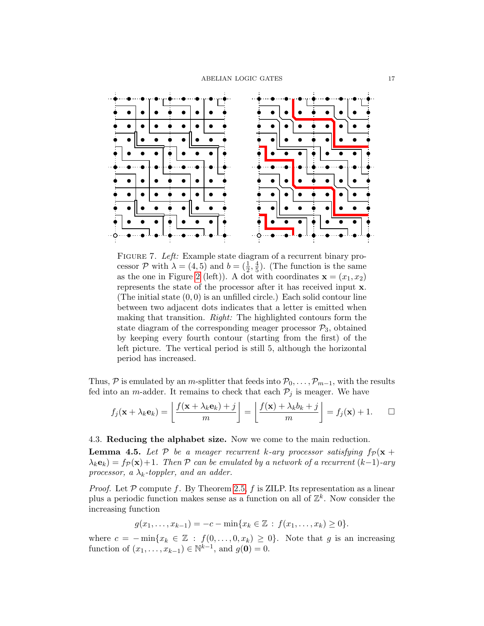

<span id="page-16-0"></span>FIGURE 7. Left: Example state diagram of a recurrent binary processor  $P$  with  $\lambda = (4, 5)$  and  $b = (\frac{1}{2}, \frac{4}{5})$  $\frac{4}{5}$ ). (The function is the same as the one in Figure [2](#page-5-0) (left)). A dot with coordinates  $\mathbf{x} = (x_1, x_2)$ represents the state of the processor after it has received input x. (The initial state  $(0, 0)$  is an unfilled circle.) Each solid contour line between two adjacent dots indicates that a letter is emitted when making that transition. Right: The highlighted contours form the state diagram of the corresponding meager processor  $P_3$ , obtained by keeping every fourth contour (starting from the first) of the left picture. The vertical period is still 5, although the horizontal period has increased.

Thus, P is emulated by an m-splitter that feeds into  $\mathcal{P}_0, \ldots, \mathcal{P}_{m-1}$ , with the results fed into an *m*-adder. It remains to check that each  $\mathcal{P}_j$  is meager. We have

$$
f_j(\mathbf{x} + \lambda_k \mathbf{e}_k) = \left\lfloor \frac{f(\mathbf{x} + \lambda_k \mathbf{e}_k) + j}{m} \right\rfloor = \left\lfloor \frac{f(\mathbf{x}) + \lambda_k b_k + j}{m} \right\rfloor = f_j(\mathbf{x}) + 1. \qquad \Box
$$

### 4.3. Reducing the alphabet size. Now we come to the main reduction.

<span id="page-16-1"></span>**Lemma 4.5.** Let P be a meager recurrent k-ary processor satisfying  $f_p(x +$  $\lambda_k \mathbf{e}_k$ ) = f $p(\mathbf{x})+1$ . Then P can be emulated by a network of a recurrent  $(k-1)$ -ary processor, a  $\lambda_k$ -toppler, and an adder.

*Proof.* Let  $P$  compute f. By Theorem [2.5,](#page-8-0) f is ZILP. Its representation as a linear plus a periodic function makes sense as a function on all of  $\mathbb{Z}^k$ . Now consider the increasing function

$$
g(x_1,\ldots,x_{k-1})=-c-\min\{x_k\in\mathbb{Z}\,:\,f(x_1,\ldots,x_k)\geq 0\}.
$$

where  $c = -\min\{x_k \in \mathbb{Z} : f(0,\ldots,0,x_k) \geq 0\}$ . Note that g is an increasing function of  $(x_1, ..., x_{k-1}) \in \mathbb{N}^{k-1}$ , and  $g(\mathbf{0}) = 0$ .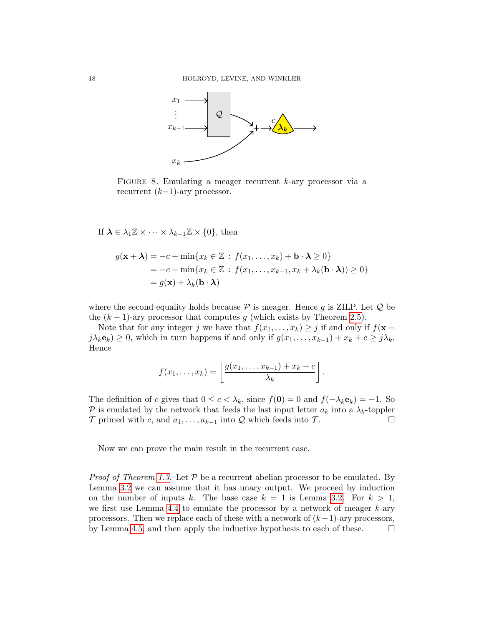

FIGURE 8. Emulating a meager recurrent  $k$ -ary processor via a recurrent  $(k-1)$ -ary processor.

If  $\lambda \in \lambda_1 \mathbb{Z} \times \cdots \times \lambda_{k-1} \mathbb{Z} \times \{0\}$ , then

$$
g(\mathbf{x} + \mathbf{\lambda}) = -c - \min\{x_k \in \mathbb{Z} : f(x_1, ..., x_k) + \mathbf{b} \cdot \mathbf{\lambda} \ge 0\}
$$
  
=  $-c - \min\{x_k \in \mathbb{Z} : f(x_1, ..., x_{k-1}, x_k + \lambda_k(\mathbf{b} \cdot \mathbf{\lambda})) \ge 0\}$   
=  $g(\mathbf{x}) + \lambda_k(\mathbf{b} \cdot \mathbf{\lambda})$ 

where the second equality holds because  $P$  is meager. Hence g is ZILP. Let  $Q$  be the  $(k-1)$ -ary processor that computes g (which exists by Theorem [2.5\)](#page-8-0).

Note that for any integer j we have that  $f(x_1, \ldots, x_k) \geq j$  if and only if  $f(\mathbf{x}$  $j\lambda_k\mathbf{e}_k) \geq 0$ , which in turn happens if and only if  $g(x_1,\ldots,x_{k-1}) + x_k + c \geq j\lambda_k$ . Hence

$$
f(x_1,\ldots,x_k)=\left\lfloor \frac{g(x_1,\ldots,x_{k-1})+x_k+c}{\lambda_k} \right\rfloor.
$$

The definition of c gives that  $0 \leq c < \lambda_k$ , since  $f(\mathbf{0}) = 0$  and  $f(-\lambda_k \mathbf{e}_k) = -1$ . So P is emulated by the network that feeds the last input letter  $a_k$  into a  $\lambda_k$ -toppler  $\mathcal T$  primed with c, and  $a_1, \ldots, a_{k-1}$  into  $\mathcal Q$  which feeds into  $\mathcal T$ .

Now we can prove the main result in the recurrent case.

*Proof of Theorem [1.3.](#page-2-1)* Let  $P$  be a recurrent abelian processor to be emulated. By Lemma [3.2](#page-12-0) we can assume that it has unary output. We proceed by induction on the number of inputs k. The base case  $k = 1$  is Lemma [3.2.](#page-12-0) For  $k > 1$ , we first use Lemma [4.4](#page-15-1) to emulate the processor by a network of meager  $k$ -ary processors. Then we replace each of these with a network of  $(k-1)$ -ary processors, by Lemma [4.5,](#page-16-1) and then apply the inductive hypothesis to each of these.  $\Box$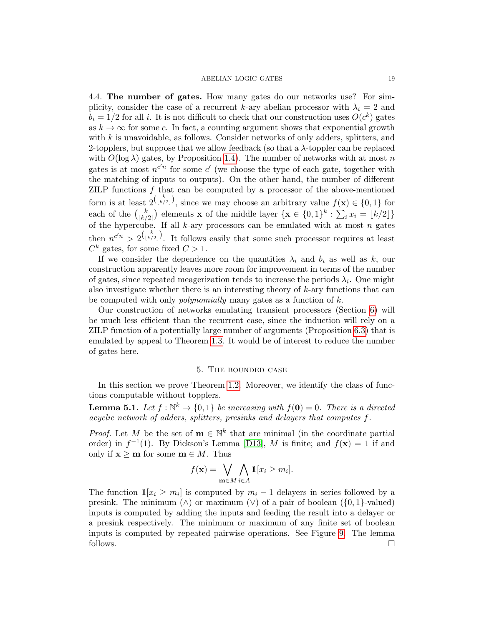#### ABELIAN LOGIC GATES 19

4.4. The number of gates. How many gates do our networks use? For simplicity, consider the case of a recurrent k-ary abelian processor with  $\lambda_i = 2$  and  $b_i = 1/2$  for all i. It is not difficult to check that our construction uses  $O(c^k)$  gates as  $k \to \infty$  for some c. In fact, a counting argument shows that exponential growth with  $k$  is unavoidable, as follows. Consider networks of only adders, splitters, and 2-topplers, but suppose that we allow feedback (so that a  $\lambda$ -toppler can be replaced with  $O(\log \lambda)$  gates, by Proposition [1.4\)](#page-4-1). The number of networks with at most n gates is at most  $n^{c'n}$  for some c' (we choose the type of each gate, together with the matching of inputs to outputs). On the other hand, the number of different ZILP functions  $f$  that can be computed by a processor of the above-mentioned form is at least  $2\binom{k}{\lfloor k/2 \rfloor}$ , since we may choose an arbitrary value  $f(\mathbf{x}) \in \{0,1\}$  for each of the  $\binom{k}{k}$  $\binom{k}{k/2}$  elements **x** of the middle layer  $\{ \mathbf{x} \in \{0,1\}^k : \sum_i x_i = \lfloor k/2 \rfloor \}$ of the hypercube. If all  $k$ -ary processors can be emulated with at most n gates then  $n^{c'n} > 2^{\binom{k}{\lfloor k/2 \rfloor}}$ . It follows easily that some such processor requires at least  $C^k$  gates, for some fixed  $C > 1$ .

If we consider the dependence on the quantities  $\lambda_i$  and  $b_i$  as well as k, our construction apparently leaves more room for improvement in terms of the number of gates, since repeated meagerization tends to increase the periods  $\lambda_i$ . One might also investigate whether there is an interesting theory of  $k$ -ary functions that can be computed with only *polynomially* many gates as a function of  $k$ .

Our construction of networks emulating transient processors (Section [6\)](#page-20-1) will be much less efficient than the recurrent case, since the induction will rely on a ZILP function of a potentially large number of arguments (Proposition [6.3\)](#page-23-0) that is emulated by appeal to Theorem [1.3.](#page-2-1) It would be of interest to reduce the number of gates here.

### 5. The bounded case

<span id="page-18-0"></span>In this section we prove Theorem [1.2.](#page-2-2) Moreover, we identify the class of functions computable without topplers.

<span id="page-18-1"></span>**Lemma 5.1.** Let  $f : \mathbb{N}^k \to \{0,1\}$  be increasing with  $f(\mathbf{0}) = 0$ . There is a directed acyclic network of adders, splitters, presinks and delayers that computes f.

*Proof.* Let M be the set of  $\mathbf{m} \in \mathbb{N}^k$  that are minimal (in the coordinate partial order) in  $f^{-1}(1)$ . By Dickson's Lemma [\[D13\]](#page-33-19), M is finite; and  $f(\mathbf{x}) = 1$  if and only if  $\mathbf{x} \geq \mathbf{m}$  for some  $\mathbf{m} \in M$ . Thus

$$
f(\mathbf{x}) = \bigvee_{\mathbf{m} \in M} \bigwedge_{i \in A} \mathbb{1}[x_i \geq m_i].
$$

<span id="page-18-2"></span>The function  $\mathbb{1}[x_i \geq m_i]$  is computed by  $m_i - 1$  delayers in series followed by a presink. The minimum  $(\wedge)$  or maximum  $(\vee)$  of a pair of boolean  $({0, 1}$ -valued) inputs is computed by adding the inputs and feeding the result into a delayer or a presink respectively. The minimum or maximum of any finite set of boolean inputs is computed by repeated pairwise operations. See Figure [9.](#page-19-1) The lemma follows.  $\Box$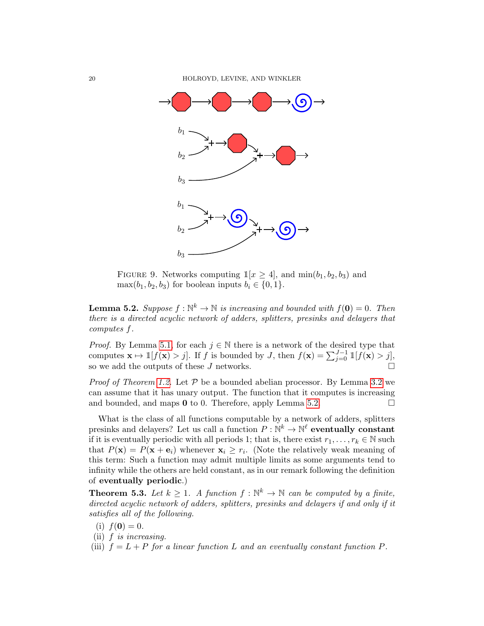20 HOLROYD, LEVINE, AND WINKLER



<span id="page-19-1"></span>FIGURE 9. Networks computing  $\mathbb{1}[x \geq 4]$ , and  $\min(b_1, b_2, b_3)$  and  $\max(b_1, b_2, b_3)$  for boolean inputs  $b_i \in \{0, 1\}.$ 

**Lemma 5.2.** Suppose  $f : \mathbb{N}^k \to \mathbb{N}$  is increasing and bounded with  $f(\mathbf{0}) = 0$ . Then there is a directed acyclic network of adders, splitters, presinks and delayers that computes f.

*Proof.* By Lemma [5.1,](#page-18-1) for each  $j \in \mathbb{N}$  there is a network of the desired type that computes  $\mathbf{x} \mapsto \mathbb{1}[f(\mathbf{x}) > j]$ . If f is bounded by J, then  $f(\mathbf{x}) = \sum_{j=0}^{J-1} \mathbb{1}[f(\mathbf{x}) > j]$ , so we add the outputs of these  $J$  networks.

*Proof of Theorem [1.2.](#page-2-2)* Let  $P$  be a bounded abelian processor. By Lemma [3.2](#page-12-0) we can assume that it has unary output. The function that it computes is increasing and bounded, and maps  $\bf{0}$  to 0. Therefore, apply Lemma [5.2.](#page-18-2)

What is the class of all functions computable by a network of adders, splitters presinks and delayers? Let us call a function  $P: \mathbb{N}^k \to \mathbb{N}^{\ell}$  eventually constant if it is eventually periodic with all periods 1; that is, there exist  $r_1, \ldots, r_k \in \mathbb{N}$  such that  $P(\mathbf{x}) = P(\mathbf{x} + \mathbf{e}_i)$  whenever  $\mathbf{x}_i \geq r_i$ . (Note the relatively weak meaning of this term: Such a function may admit multiple limits as some arguments tend to infinity while the others are held constant, as in our remark following the definition of eventually periodic.)

<span id="page-19-0"></span>**Theorem 5.3.** Let  $k \geq 1$ . A function  $f : \mathbb{N}^k \to \mathbb{N}$  can be computed by a finite, directed acyclic network of adders, splitters, presinks and delayers if and only if it satisfies all of the following.

- (i)  $f(\mathbf{0}) = 0$ .
- (ii)  $f$  is increasing.
- (iii)  $f = L + P$  for a linear function L and an eventually constant function P.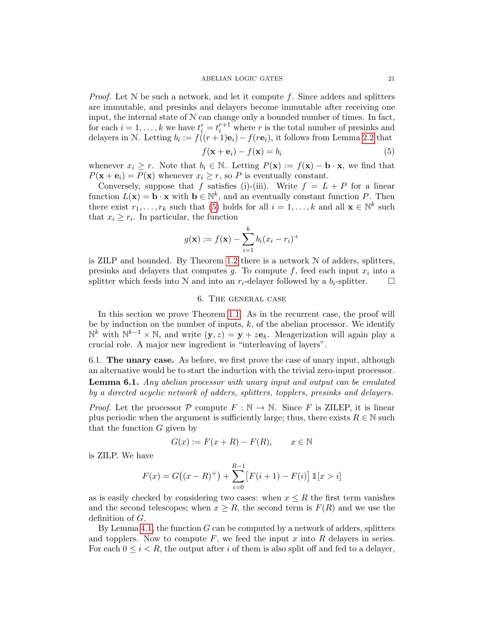#### ABELIAN LOGIC GATES 21

*Proof.* Let  $N$  be such a network, and let it compute f. Since adders and splitters are immutable, and presinks and delayers become immutable after receiving one input, the internal state of  $N$  can change only a bounded number of times. In fact, for each  $i = 1, ..., k$  we have  $t_i^r = t_i^{r+1}$  where r is the total number of presinks and delayers in N. Letting  $b_i := f((r+1)\mathbf{e}_i) - f(r\mathbf{e}_i)$ , it follows from Lemma [2.2](#page-7-3) that

<span id="page-20-2"></span>
$$
f(\mathbf{x} + \mathbf{e}_i) - f(\mathbf{x}) = b_i \tag{5}
$$

whenever  $x_i \geq r$ . Note that  $b_i \in \mathbb{N}$ . Letting  $P(\mathbf{x}) := f(\mathbf{x}) - \mathbf{b} \cdot \mathbf{x}$ , we find that  $P(\mathbf{x} + \mathbf{e}_i) = P(\mathbf{x})$  whenever  $x_i \geq r$ , so P is eventually constant.

Conversely, suppose that f satisfies (i)-(iii). Write  $f = L + P$  for a linear function  $L(\mathbf{x}) = \mathbf{b} \cdot \mathbf{x}$  with  $\mathbf{b} \in \mathbb{N}^k$ , and an eventually constant function P. Then there exist  $r_1, \ldots, r_k$  such that [\(5\)](#page-20-2) holds for all  $i = 1, \ldots, k$  and all  $\mathbf{x} \in \mathbb{N}^k$  such that  $x_i \geq r_i$ . In particular, the function

$$
g(\mathbf{x}) := f(\mathbf{x}) - \sum_{i=1}^{k} b_i (x_i - r_i)^+
$$

is ZILP and bounded. By Theorem [1.2](#page-2-2) there is a network N of adders, splitters, presinks and delayers that computes  $g$ . To compute  $f$ , feed each input  $x_i$  into a splitter which feeds into N and into an  $r_i$ -delayer followed by a  $b_i$ -splitter.

## 6. The general case

<span id="page-20-1"></span>In this section we prove Theorem [1.1.](#page-2-0) As in the recurrent case, the proof will be by induction on the number of inputs,  $k$ , of the abelian processor. We identify  $\mathbb{N}^k$  with  $\mathbb{N}^{k-1} \times \mathbb{N}$ , and write  $(\mathbf{y}, z) = \mathbf{y} + z\mathbf{e}_k$ . Meagerization will again play a crucial role. A major new ingredient is "interleaving of layers".

6.1. The unary case. As before, we first prove the case of unary input, although an alternative would be to start the induction with the trivial zero-input processor.

<span id="page-20-0"></span>Lemma 6.1. Any abelian processor with unary input and output can be emulated by a directed acyclic network of adders, splitters, topplers, presinks and delayers.

*Proof.* Let the processor  $P$  compute  $F : \mathbb{N} \to \mathbb{N}$ . Since F is ZILEP, it is linear plus periodic when the argument is sufficiently large; thus, there exists  $R \in \mathbb{N}$  such that the function G given by

$$
G(x) := F(x + R) - F(R), \qquad x \in \mathbb{N}
$$

is ZILP. We have

$$
F(x) = G((x - R)^{+}) + \sum_{i=0}^{R-1} [F(i+1) - F(i)] \mathbb{1}[x > i]
$$

as is easily checked by considering two cases: when  $x \leq R$  the first term vanishes and the second telescopes; when  $x \geq R$ , the second term is  $F(R)$  and we use the definition of G.

By Lemma [4.1,](#page-14-0) the function  $G$  can be computed by a network of adders, splitters and topplers. Now to compute  $F$ , we feed the input  $x$  into  $R$  delayers in series. For each  $0 \le i \le R$ , the output after i of them is also split off and fed to a delayer,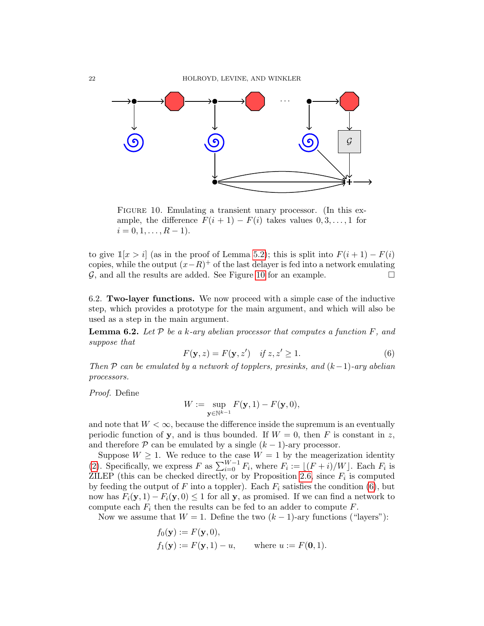

<span id="page-21-0"></span>FIGURE 10. Emulating a transient unary processor. (In this example, the difference  $F(i + 1) - F(i)$  takes values  $0, 3, ..., 1$  for  $i = 0, 1, \ldots, R - 1$ .

to give  $\mathbb{1}[x > i]$  (as in the proof of Lemma [5.2\)](#page-18-2); this is split into  $F(i + 1) - F(i)$ copies, while the output  $(x-R)^+$  of the last delayer is fed into a network emulating G, and all the results are added. See Figure [10](#page-21-0) for an example.  $\Box$ 

6.2. Two-layer functions. We now proceed with a simple case of the inductive step, which provides a prototype for the main argument, and which will also be used as a step in the main argument.

<span id="page-21-2"></span>**Lemma 6.2.** Let  $\mathcal{P}$  be a k-ary abelian processor that computes a function  $F$ , and suppose that

<span id="page-21-1"></span>
$$
F(\mathbf{y}, z) = F(\mathbf{y}, z') \quad \text{if } z, z' \ge 1. \tag{6}
$$

Then P can be emulated by a network of topplers, presinks, and  $(k-1)$ -ary abelian processors.

Proof. Define

$$
W := \sup_{{\bf y} \in \mathbb{N}^{k-1}} F({\bf y}, 1) - F({\bf y}, 0),
$$

and note that  $W < \infty$ , because the difference inside the supremum is an eventually periodic function of y, and is thus bounded. If  $W = 0$ , then F is constant in z, and therefore  $P$  can be emulated by a single  $(k-1)$ -ary processor.

Suppose  $W \geq 1$ . We reduce to the case  $W = 1$  by the meagerization identity [\(2\)](#page-6-2). Specifically, we express F as  $\sum_{i=0}^{W-1} F_i$ , where  $F_i := \lfloor (F + i)/W \rfloor$ . Each  $F_i$  is ZILEP (this can be checked directly, or by Proposition [2.6,](#page-9-1) since  $F_i$  is computed by feeding the output of F into a toppler). Each  $F_i$  satisfies the condition [\(6\)](#page-21-1), but now has  $F_i(\mathbf{y},1) - F_i(\mathbf{y},0) \leq 1$  for all y, as promised. If we can find a network to compute each  $F_i$  then the results can be fed to an adder to compute  $F$ .

Now we assume that  $W = 1$ . Define the two  $(k-1)$ -ary functions ("layers"):

$$
f_0(\mathbf{y}) := F(\mathbf{y}, 0),
$$
  
\n $f_1(\mathbf{y}) := F(\mathbf{y}, 1) - u,$  where  $u := F(\mathbf{0}, 1).$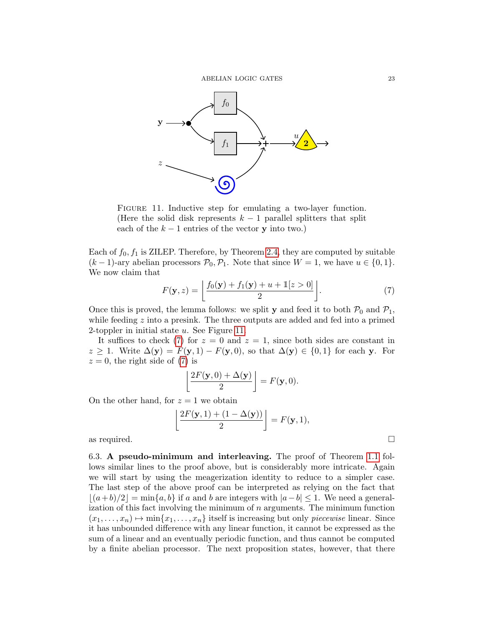

<span id="page-22-0"></span>FIGURE 11. Inductive step for emulating a two-layer function. (Here the solid disk represents  $k-1$  parallel splitters that split each of the  $k - 1$  entries of the vector **y** into two.)

Each of  $f_0, f_1$  is ZILEP. Therefore, by Theorem [2.4,](#page-7-1) they are computed by suitable  $(k-1)$ -ary abelian processors  $\mathcal{P}_0$ ,  $\mathcal{P}_1$ . Note that since  $W = 1$ , we have  $u \in \{0, 1\}$ . We now claim that

<span id="page-22-1"></span>
$$
F(\mathbf{y}, z) = \left\lfloor \frac{f_0(\mathbf{y}) + f_1(\mathbf{y}) + u + \mathbb{1}[z > 0]}{2} \right\rfloor.
$$
 (7)

Once this is proved, the lemma follows: we split **y** and feed it to both  $\mathcal{P}_0$  and  $\mathcal{P}_1$ , while feeding z into a presink. The three outputs are added and fed into a primed 2-toppler in initial state  $u$ . See Figure [11.](#page-22-0)

It suffices to check [\(7\)](#page-22-1) for  $z = 0$  and  $z = 1$ , since both sides are constant in  $z \geq 1$ . Write  $\Delta(\mathbf{y}) = F(\mathbf{y}, 1) - F(\mathbf{y}, 0)$ , so that  $\Delta(\mathbf{y}) \in \{0, 1\}$  for each y. For  $z = 0$ , the right side of [\(7\)](#page-22-1) is

$$
\left\lfloor \frac{2F(\mathbf{y},0)+\Delta(\mathbf{y})}{2} \right\rfloor = F(\mathbf{y},0).
$$

On the other hand, for  $z = 1$  we obtain

$$
\left\lfloor \frac{2F(\mathbf{y},1) + (1 - \Delta(\mathbf{y}))}{2} \right\rfloor = F(\mathbf{y},1),
$$

as required.  $\Box$ 

6.3. A pseudo-minimum and interleaving. The proof of Theorem [1.1](#page-2-0) follows similar lines to the proof above, but is considerably more intricate. Again we will start by using the meagerization identity to reduce to a simpler case. The last step of the above proof can be interpreted as relying on the fact that  $|(a+b)/2| = \min\{a, b\}$  if a and b are integers with  $|a-b| \leq 1$ . We need a generalization of this fact involving the minimum of  $n$  arguments. The minimum function  $(x_1, \ldots, x_n) \mapsto \min\{x_1, \ldots, x_n\}$  itself is increasing but only *piecewise* linear. Since it has unbounded difference with any linear function, it cannot be expressed as the sum of a linear and an eventually periodic function, and thus cannot be computed by a finite abelian processor. The next proposition states, however, that there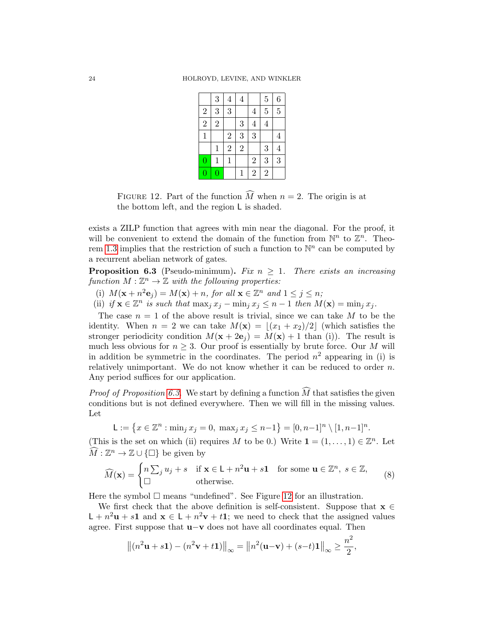|                         | 3              | $\overline{4}$ | $\overline{4}$ |                | $\overline{5}$ | $\overline{6}$ |  |
|-------------------------|----------------|----------------|----------------|----------------|----------------|----------------|--|
| $\overline{\mathbf{c}}$ | 3              | 3              |                | $\overline{4}$ | $\overline{5}$ | $\overline{5}$ |  |
| $\overline{2}$          | $\overline{2}$ |                | 3              | $\overline{4}$ | $\overline{4}$ |                |  |
| $\mathbf{1}$            |                | $\overline{c}$ | 3              | 3              |                | $\overline{4}$ |  |
|                         | $\mathbf{1}$   | $\overline{2}$ | $\overline{2}$ |                | 3              | $\overline{4}$ |  |
| $\overline{0}$          | $\mathbf 1$    | $\mathbf{1}$   |                | $\overline{2}$ | 3              | 3              |  |
| $\overline{0}$          | $\overline{0}$ |                | $\mathbf{1}$   | $\overline{2}$ | $\overline{2}$ |                |  |

<span id="page-23-1"></span>FIGURE 12. Part of the function  $\widehat{M}$  when  $n = 2$ . The origin is at the bottom left, and the region L is shaded.

exists a ZILP function that agrees with min near the diagonal. For the proof, it will be convenient to extend the domain of the function from  $\mathbb{N}^n$  to  $\mathbb{Z}^n$ . Theo-rem [1.3](#page-2-1) implies that the restriction of such a function to  $\mathbb{N}^n$  can be computed by a recurrent abelian network of gates.

<span id="page-23-0"></span>**Proposition 6.3** (Pseudo-minimum). Fix  $n \geq 1$ . There exists an increasing function  $M : \mathbb{Z}^n \to \mathbb{Z}$  with the following properties:

- (i)  $M(\mathbf{x} + n^2 \mathbf{e}_j) = M(\mathbf{x}) + n$ , for all  $\mathbf{x} \in \mathbb{Z}^n$  and  $1 \le j \le n$ ;
- (ii) if  $\mathbf{x} \in \mathbb{Z}^n$  is such that  $\max_j x_j \min_j x_j \leq n-1$  then  $M(\mathbf{x}) = \min_j x_j$ .

The case  $n = 1$  of the above result is trivial, since we can take M to be the identity. When  $n = 2$  we can take  $M(\mathbf{x}) = |(x_1 + x_2)/2|$  (which satisfies the stronger periodicity condition  $M(\mathbf{x} + 2\mathbf{e}_i) = M(\mathbf{x}) + 1$  than (i)). The result is much less obvious for  $n \geq 3$ . Our proof is essentially by brute force. Our M will in addition be symmetric in the coordinates. The period  $n^2$  appearing in (i) is relatively unimportant. We do not know whether it can be reduced to order  $n$ . Any period suffices for our application.

*Proof of Proposition [6.3.](#page-23-0)* We start by defining a function  $\widehat{M}$  that satisfies the given conditions but is not defined everywhere. Then we will fill in the missing values. Let

<span id="page-23-2"></span>
$$
L := \{ x \in \mathbb{Z}^n : \min_j x_j = 0, \, \max_j x_j \le n - 1 \} = [0, n - 1]^n \setminus [1, n - 1]^n.
$$

(This is the set on which (ii) requires M to be 0.) Write  $\mathbf{1} = (1, \ldots, 1) \in \mathbb{Z}^n$ . Let  $\widehat{M}: \mathbb{Z}^n \to \mathbb{Z} \cup {\{\square\}}$  be given by

$$
\widehat{M}(\mathbf{x}) = \begin{cases} n \sum_{j} u_j + s & \text{if } \mathbf{x} \in \mathsf{L} + n^2 \mathbf{u} + s \mathbf{1} \quad \text{for some } \mathbf{u} \in \mathbb{Z}^n, \ s \in \mathbb{Z}, \\ \Box & \text{otherwise.} \end{cases} \tag{8}
$$

Here the symbol  $\Box$  means "undefined". See Figure [12](#page-23-1) for an illustration.

We first check that the above definition is self-consistent. Suppose that  $x \in$  $\mathsf{L} + n^2 \mathbf{u} + s \mathbf{1}$  and  $\mathbf{x} \in \mathsf{L} + n^2 \mathbf{v} + t \mathbf{1}$ ; we need to check that the assigned values agree. First suppose that u−v does not have all coordinates equal. Then

$$
\left\|(n^2\mathbf{u}+s\mathbf{1})-(n^2\mathbf{v}+t\mathbf{1})\right\|_{\infty}=\left\|n^2(\mathbf{u}-\mathbf{v})+(s-t)\mathbf{1}\right\|_{\infty}\geq\frac{n^2}{2},
$$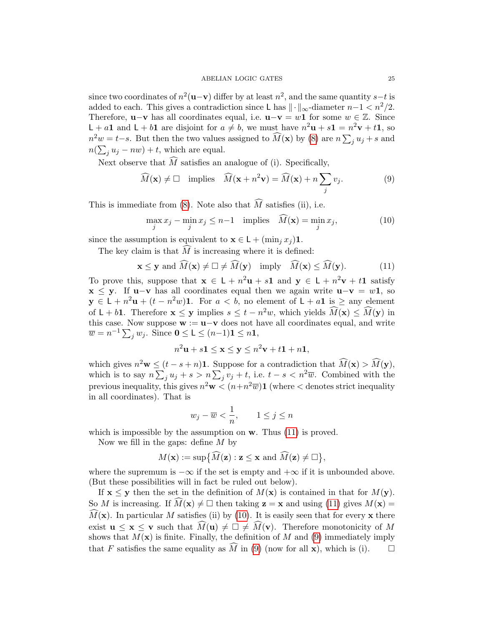since two coordinates of  $n^2(\mathbf{u}-\mathbf{v})$  differ by at least  $n^2$ , and the same quantity  $s-t$  is added to each. This gives a contradiction since L has  $\|\cdot\|_{\infty}$ -diameter  $n-1 < n^2/2$ . Therefore, **u**−**v** has all coordinates equal, i.e. **u**−**v** = w1 for some  $w \in \mathbb{Z}$ . Since  $\mathsf{L} + a\mathbf{1}$  and  $\mathsf{L} + b\mathbf{1}$  are disjoint for  $a \neq b$ , we must have  $n^2\mathbf{u} + s\mathbf{1} = n^2\mathbf{v} + t\mathbf{1}$ , so  $n^2w = t-s$ . But then the two values assigned to  $\widehat{M}(\mathbf{x})$  by [\(8\)](#page-23-2) are  $n \sum_j u_j + s$  and  $n(\sum_j u_j - nw) + t$ , which are equal.

Next observe that  $\widehat{M}$  satisfies an analogue of (i). Specifically,

<span id="page-24-2"></span>
$$
\widehat{M}(\mathbf{x}) \neq \Box \quad \text{implies} \quad \widehat{M}(\mathbf{x} + n^2 \mathbf{v}) = \widehat{M}(\mathbf{x}) + n \sum_{j} v_j. \tag{9}
$$

This is immediate from [\(8\)](#page-23-2). Note also that  $\widehat{M}$  satisfies (ii), i.e.

<span id="page-24-1"></span><span id="page-24-0"></span>
$$
\max_{j} x_j - \min_{j} x_j \le n - 1 \quad \text{implies} \quad \widehat{M}(\mathbf{x}) = \min_{j} x_j,\tag{10}
$$

since the assumption is equivalent to  $\mathbf{x} \in \mathsf{L} + (\min_j x_j) \mathbf{1}$ .

The key claim is that  $\tilde{M}$  is increasing where it is defined:

$$
\mathbf{x} \le \mathbf{y} \text{ and } \widehat{M}(\mathbf{x}) \ne \Box \ne \widehat{M}(\mathbf{y}) \text{ imply } \widehat{M}(\mathbf{x}) \le \widehat{M}(\mathbf{y}). \tag{11}
$$

To prove this, suppose that  $\mathbf{x} \in L + n^2 \mathbf{u} + s\mathbf{1}$  and  $\mathbf{y} \in L + n^2 \mathbf{v} + t\mathbf{1}$  satisfy  $x \leq y$ . If u–v has all coordinates equal then we again write  $u-v = w1$ , so  $y \in L + n^2u + (t - n^2w)$ 1. For  $a < b$ , no element of  $L + a$ 1 is  $\geq$  any element of  $L + b$ **1**. Therefore  $\mathbf{x} \leq \mathbf{y}$  implies  $s \leq t - n^2w$ , which yields  $\widehat{M}(\mathbf{x}) \leq \widehat{M}(\mathbf{y})$  in this case. Now suppose  $\mathbf{w} := \mathbf{u} - \mathbf{v}$  does not have all coordinates equal, and write  $\overline{w} = n^{-1} \sum_j w_j$ . Since  $\mathbf{0} \le \mathsf{L} \le (n-1)\mathbf{1} \le n\mathbf{1}$ ,

$$
n^2\mathbf{u} + s\mathbf{1} \le \mathbf{x} \le \mathbf{y} \le n^2\mathbf{v} + t\mathbf{1} + n\mathbf{1},
$$

which gives  $n^2 \mathbf{w} \leq (t-s+n) \mathbf{1}$ . Suppose for a contradiction that  $\widehat{M}(\mathbf{x}) > \widehat{M}(\mathbf{y})$ , which is to say  $n \sum_j u_j + s > n \sum_j v_j + t$ , i.e.  $t - s < n^2 \overline{w}$ . Combined with the previous inequality, this gives  $n^2\mathbf{w} < (n+n^2\overline{w})\mathbf{1}$  (where  $\lt$  denotes strict inequality in all coordinates). That is

$$
w_j - \overline{w} < \frac{1}{n}, \qquad 1 \le j \le n
$$

which is impossible by the assumption on  $w$ . Thus [\(11\)](#page-24-0) is proved.

Now we fill in the gaps: define  $M$  by

$$
M(\mathbf{x}) := \sup \{ \widehat{M}(\mathbf{z}) : \mathbf{z} \leq \mathbf{x} \text{ and } \widehat{M}(\mathbf{z}) \neq \square \},
$$

where the supremum is  $-\infty$  if the set is empty and  $+\infty$  if it is unbounded above. (But these possibilities will in fact be ruled out below).

If  $\mathbf{x} \leq \mathbf{y}$  then the set in the definition of  $M(\mathbf{x})$  is contained in that for  $M(\mathbf{y})$ . So M is increasing. If  $M(\mathbf{x}) \neq \square$  then taking  $\mathbf{z} = \mathbf{x}$  and using [\(11\)](#page-24-0) gives  $M(\mathbf{x}) =$  $\widehat{M}(\mathbf{x})$ . In particular M satisfies (ii) by [\(10\)](#page-24-1). It is easily seen that for every x there exist  $\mathbf{u} \leq \mathbf{x} \leq \mathbf{v}$  such that  $\widehat{M}(\mathbf{u}) \neq \square \neq \widehat{M}(\mathbf{v})$ . Therefore monotonicity of M shows that  $M(\mathbf{x})$  is finite. Finally, the definition of M and [\(9\)](#page-24-2) immediately imply that F satisfies the same equality as  $\widehat{M}$  in [\(9\)](#page-24-2) (now for all **x**), which is (i).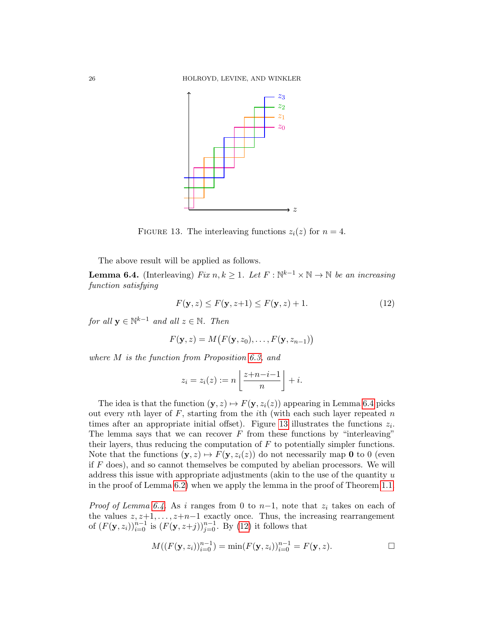

<span id="page-25-1"></span>FIGURE 13. The interleaving functions  $z_i(z)$  for  $n = 4$ .

The above result will be applied as follows.

<span id="page-25-0"></span>**Lemma 6.4.** (Interleaving) Fix  $n, k \geq 1$ . Let  $F : \mathbb{N}^{k-1} \times \mathbb{N} \to \mathbb{N}$  be an increasing function satisfying

<span id="page-25-2"></span>
$$
F(\mathbf{y}, z) \le F(\mathbf{y}, z+1) \le F(\mathbf{y}, z) + 1.
$$
\n<sup>(12)</sup>

for all  $y \in \mathbb{N}^{k-1}$  and all  $z \in \mathbb{N}$ . Then

$$
F(\mathbf{y},z) = M(F(\mathbf{y},z_0),\ldots,F(\mathbf{y},z_{n-1}))
$$

where M is the function from Proposition [6.3,](#page-23-0) and

$$
z_i = z_i(z) := n \left\lfloor \frac{z + n - i - 1}{n} \right\rfloor + i.
$$

The idea is that the function  $(y, z) \mapsto F(y, z_i(z))$  appearing in Lemma [6.4](#page-25-0) picks out every nth layer of  $F$ , starting from the *i*th (with each such layer repeated  $n$ times after an appropriate initial offset). Figure [13](#page-25-1) illustrates the functions  $z_i$ . The lemma says that we can recover  $F$  from these functions by "interleaving" their layers, thus reducing the computation of  $F$  to potentially simpler functions. Note that the functions  $(\mathbf{y}, z) \mapsto F(\mathbf{y}, z_i(z))$  do not necessarily map **0** to 0 (even if  $F$  does), and so cannot themselves be computed by abelian processors. We will address this issue with appropriate adjustments (akin to the use of the quantity  $u$ in the proof of Lemma [6.2\)](#page-21-2) when we apply the lemma in the proof of Theorem [1.1.](#page-2-0)

*Proof of Lemma [6.4.](#page-25-0)* As i ranges from 0 to  $n-1$ , note that  $z_i$  takes on each of the values  $z, z+1, \ldots, z+n-1$  exactly once. Thus, the increasing rearrangement of  $(F(\mathbf{y}, z_i))_{i=0}^{n-1}$  is  $(F(\mathbf{y}, z+j))_{j=0}^{n-1}$ . By [\(12\)](#page-25-2) it follows that

$$
M((F(\mathbf{y}, z_i))_{i=0}^{n-1}) = \min(F(\mathbf{y}, z_i))_{i=0}^{n-1} = F(\mathbf{y}, z).
$$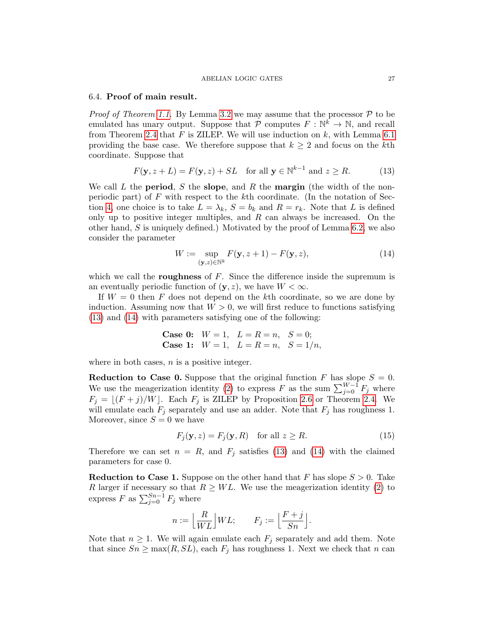#### ABELIAN LOGIC GATES 27

## 6.4. Proof of main result.

*Proof of Theorem [1.1.](#page-2-0)* By Lemma [3.2](#page-12-0) we may assume that the processor  $P$  to be emulated has unary output. Suppose that  $\mathcal P$  computes  $F: \mathbb{N}^k \to \mathbb{N}$ , and recall from Theorem [2.4](#page-7-1) that  $F$  is ZILEP. We will use induction on  $k$ , with Lemma [6.1](#page-20-0) providing the base case. We therefore suppose that  $k \geq 2$  and focus on the kth coordinate. Suppose that

<span id="page-26-0"></span>
$$
F(\mathbf{y}, z + L) = F(\mathbf{y}, z) + SL \quad \text{for all } \mathbf{y} \in \mathbb{N}^{k-1} \text{ and } z \ge R. \tag{13}
$$

We call L the **period**, S the **slope**, and R the **margin** (the width of the nonperiodic part) of  $F$  with respect to the kth coordinate. (In the notation of Sec-tion [4,](#page-14-1) one choice is to take  $L = \lambda_k$ ,  $S = b_k$  and  $R = r_k$ . Note that L is defined only up to positive integer multiples, and  $R$  can always be increased. On the other hand, S is uniquely defined.) Motivated by the proof of Lemma [6.2,](#page-21-2) we also consider the parameter

<span id="page-26-1"></span>
$$
W := \sup_{(\mathbf{y},z) \in \mathbb{N}^k} F(\mathbf{y}, z+1) - F(\mathbf{y}, z), \tag{14}
$$

which we call the **roughness** of  $F$ . Since the difference inside the supremum is an eventually periodic function of  $(y, z)$ , we have  $W < \infty$ .

If  $W = 0$  then F does not depend on the kth coordinate, so we are done by induction. Assuming now that  $W > 0$ , we will first reduce to functions satisfying [\(13\)](#page-26-0) and [\(14\)](#page-26-1) with parameters satisfying one of the following:

Case 0: 
$$
W = 1
$$
,  $L = R = n$ ,  $S = 0$ ;  
Case 1:  $W = 1$ ,  $L = R = n$ ,  $S = 1/n$ ,

where in both cases,  $n$  is a positive integer.

**Reduction to Case 0.** Suppose that the original function F has slope  $S = 0$ . We use the meagerization identity [\(2\)](#page-6-2) to express F as the sum  $\sum_{j=0}^{W-1} F_j$  where  $F_j = \lfloor (F + j)/W \rfloor$ . Each  $F_j$  is ZILEP by Proposition [2.6](#page-9-1) or Theorem [2.4.](#page-7-1) We will emulate each  $F_j$  separately and use an adder. Note that  $F_j$  has roughness 1. Moreover, since  $S = 0$  we have

$$
F_j(\mathbf{y}, z) = F_j(\mathbf{y}, R) \quad \text{for all } z \ge R. \tag{15}
$$

Therefore we can set  $n = R$ , and  $F_j$  satisfies [\(13\)](#page-26-0) and [\(14\)](#page-26-1) with the claimed parameters for case 0.

**Reduction to Case 1.** Suppose on the other hand that F has slope  $S > 0$ . Take R larger if necessary so that  $R \geq WL$ . We use the meagerization identity [\(2\)](#page-6-2) to express F as  $\sum_{j=0}^{Sn-1} F_j$  where

$$
n := \left\lfloor \frac{R}{WL} \right\rfloor WL; \qquad F_j := \left\lfloor \frac{F+j}{Sn} \right\rfloor.
$$

Note that  $n \geq 1$ . We will again emulate each  $F_i$  separately and add them. Note that since  $Sn \ge \max(R, SL)$ , each  $F_j$  has roughness 1. Next we check that n can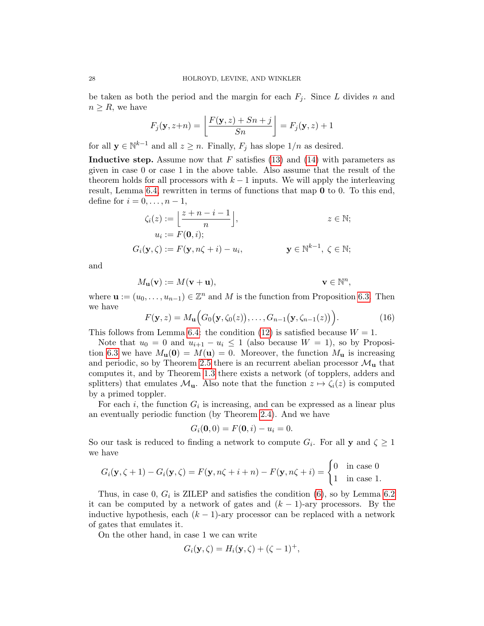be taken as both the period and the margin for each  $F_i$ . Since L divides n and  $n \geq R$ , we have

$$
F_j(\mathbf{y}, z+n) = \left\lfloor \frac{F(\mathbf{y}, z) + Sn + j}{Sn} \right\rfloor = F_j(\mathbf{y}, z) + 1
$$

for all  $y \in \mathbb{N}^{k-1}$  and all  $z \geq n$ . Finally,  $F_j$  has slope  $1/n$  as desired.

**Inductive step.** Assume now that F satisfies [\(13\)](#page-26-0) and [\(14\)](#page-26-1) with parameters as given in case 0 or case 1 in the above table. Also assume that the result of the theorem holds for all processors with  $k - 1$  inputs. We will apply the interleaving result, Lemma [6.4,](#page-25-0) rewritten in terms of functions that map 0 to 0. To this end, define for  $i = 0, \ldots, n-1$ ,

$$
\zeta_i(z) := \left\lfloor \frac{z+n-i-1}{n} \right\rfloor, \qquad z \in \mathbb{N};
$$
  
\n
$$
u_i := F(\mathbf{0}, i);
$$
  
\n
$$
G_i(\mathbf{y}, \zeta) := F(\mathbf{y}, n\zeta + i) - u_i, \qquad \mathbf{y} \in \mathbb{N}^{k-1}, \ \zeta \in \mathbb{N};
$$

and

$$
M_{\mathbf{u}}(\mathbf{v}) := M(\mathbf{v} + \mathbf{u}), \qquad \qquad \mathbf{v} \in \mathbb{N}^n,
$$

where  $\mathbf{u} := (u_0, \dots, u_{n-1}) \in \mathbb{Z}^n$  and M is the function from Proposition [6.3.](#page-23-0) Then we have

<span id="page-27-0"></span>
$$
F(\mathbf{y},z) = M_{\mathbf{u}}\Big(G_0(\mathbf{y},\zeta_0(z)),\ldots,G_{n-1}(\mathbf{y},\zeta_{n-1}(z))\Big).
$$
 (16)

This follows from Lemma [6.4:](#page-25-0) the condition [\(12\)](#page-25-2) is satisfied because  $W = 1$ .

Note that  $u_0 = 0$  and  $u_{i+1} - u_i \leq 1$  (also because  $W = 1$ ), so by Proposi-tion [6.3](#page-23-0) we have  $M_{\mathbf{u}}(\mathbf{0}) = M(\mathbf{u}) = 0$ . Moreover, the function  $M_{\mathbf{u}}$  is increasing and periodic, so by Theorem [2.5](#page-8-0) there is an recurrent abelian processor  $\mathcal{M}_{\mathbf{u}}$  that computes it, and by Theorem [1.3](#page-2-1) there exists a network (of topplers, adders and splitters) that emulates  $\mathcal{M}_{\mathbf{u}}$ . Also note that the function  $z \mapsto \zeta_i(z)$  is computed by a primed toppler.

For each *i*, the function  $G_i$  is increasing, and can be expressed as a linear plus an eventually periodic function (by Theorem [2.4\)](#page-7-1). And we have

$$
G_i(\mathbf{0},0) = F(\mathbf{0},i) - u_i = 0.
$$

So our task is reduced to finding a network to compute  $G_i$ . For all y and  $\zeta \geq 1$ we have

$$
G_i(\mathbf{y}, \zeta + 1) - G_i(\mathbf{y}, \zeta) = F(\mathbf{y}, n\zeta + i + n) - F(\mathbf{y}, n\zeta + i) = \begin{cases} 0 & \text{in case } 0 \\ 1 & \text{in case } 1. \end{cases}
$$

Thus, in case 0,  $G_i$  is ZILEP and satisfies the condition  $(6)$ , so by Lemma [6.2](#page-21-2) it can be computed by a network of gates and  $(k-1)$ -ary processors. By the inductive hypothesis, each  $(k - 1)$ -ary processor can be replaced with a network of gates that emulates it.

On the other hand, in case 1 we can write

$$
G_i(\mathbf{y}, \zeta) = H_i(\mathbf{y}, \zeta) + (\zeta - 1)^+,
$$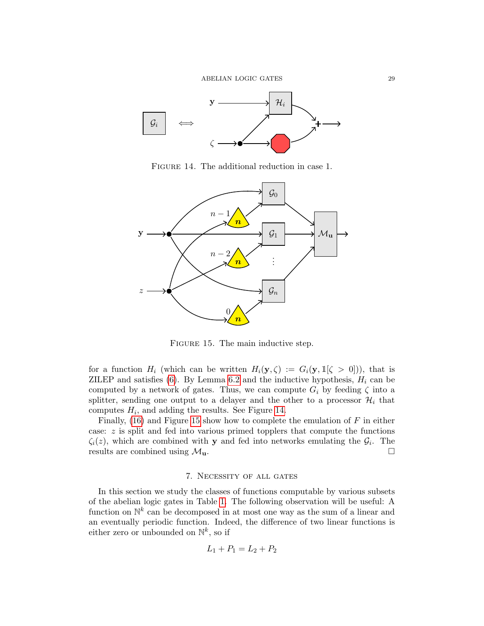

<span id="page-28-1"></span>Figure 14. The additional reduction in case 1.



<span id="page-28-2"></span>FIGURE 15. The main inductive step.

for a function  $H_i$  (which can be written  $H_i(\mathbf{y}, \zeta) := G_i(\mathbf{y}, \mathbb{1}[\zeta > 0])$ ), that is ZILEP and satisfies  $(6)$ . By Lemma [6.2](#page-21-2) and the inductive hypothesis,  $H_i$  can be computed by a network of gates. Thus, we can compute  $G_i$  by feeding  $\zeta$  into a splitter, sending one output to a delayer and the other to a processor  $\mathcal{H}_i$  that computes  $H_i$ , and adding the results. See Figure [14.](#page-28-1)

Finally,  $(16)$  and Figure [15](#page-28-2) show how to complete the emulation of F in either case:  $z$  is split and fed into various primed topplers that compute the functions  $\zeta_i(z)$ , which are combined with **y** and fed into networks emulating the  $\mathcal{G}_i$ . The results are combined using  $\mathcal{M}_{\mathbf{u}}$ .

## 7. Necessity of all gates

<span id="page-28-0"></span>In this section we study the classes of functions computable by various subsets of the abelian logic gates in Table [1.](#page-3-0) The following observation will be useful: A function on  $\mathbb{N}^k$  can be decomposed in at most one way as the sum of a linear and an eventually periodic function. Indeed, the difference of two linear functions is either zero or unbounded on  $\mathbb{N}^k$ , so if

$$
L_1 + P_1 = L_2 + P_2
$$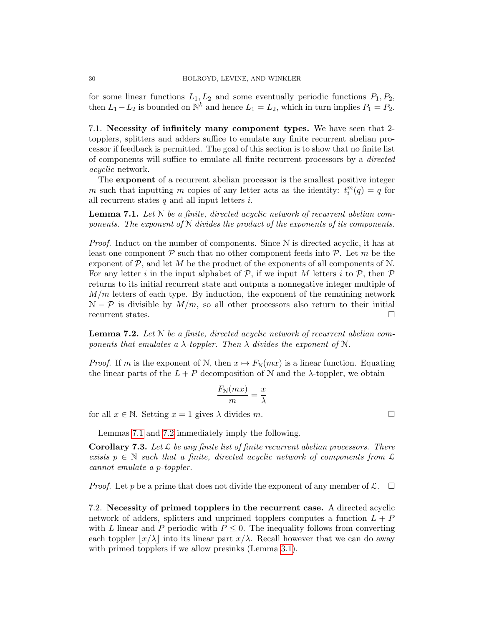for some linear functions  $L_1, L_2$  and some eventually periodic functions  $P_1, P_2$ , then  $L_1 - L_2$  is bounded on  $\mathbb{N}^k$  and hence  $L_1 = L_2$ , which in turn implies  $P_1 = P_2$ .

7.1. Necessity of infinitely many component types. We have seen that 2 topplers, splitters and adders suffice to emulate any finite recurrent abelian processor if feedback is permitted. The goal of this section is to show that no finite list of components will suffice to emulate all finite recurrent processors by a directed acyclic network.

The exponent of a recurrent abelian processor is the smallest positive integer m such that inputting m copies of any letter acts as the identity:  $t_i^m(q) = q$  for all recurrent states  $q$  and all input letters  $i$ .

<span id="page-29-0"></span>**Lemma 7.1.** Let  $N$  be a finite, directed acyclic network of recurrent abelian components. The exponent of  $N$  divides the product of the exponents of its components.

*Proof.* Induct on the number of components. Since  $N$  is directed acyclic, it has at least one component  $P$  such that no other component feeds into  $P$ . Let m be the exponent of  $\mathcal{P}$ , and let M be the product of the exponents of all components of  $\mathcal{N}$ . For any letter i in the input alphabet of  $P$ , if we input M letters i to  $P$ , then  $P$ returns to its initial recurrent state and outputs a nonnegative integer multiple of  $M/m$  letters of each type. By induction, the exponent of the remaining network  $\mathcal{N} - \mathcal{P}$  is divisible by  $M/m$ , so all other processors also return to their initial recurrent states.  $\Box$ 

<span id="page-29-1"></span>**Lemma 7.2.** Let  $N$  be a finite, directed acyclic network of recurrent abelian components that emulates a  $\lambda$ -toppler. Then  $\lambda$  divides the exponent of  $\mathcal{N}$ .

*Proof.* If m is the exponent of N, then  $x \mapsto F_N(mx)$  is a linear function. Equating the linear parts of the  $L + P$  decomposition of N and the  $\lambda$ -toppler, we obtain

$$
\frac{F_{\mathcal{N}}(mx)}{m} = \frac{x}{\lambda}
$$

for all  $x \in \mathbb{N}$ . Setting  $x = 1$  gives  $\lambda$  divides m.

Lemmas [7.1](#page-29-0) and [7.2](#page-29-1) immediately imply the following.

**Corollary 7.3.** Let  $\mathcal{L}$  be any finite list of finite recurrent abelian processors. There exists  $p \in \mathbb{N}$  such that a finite, directed acyclic network of components from  $\mathcal{L}$ cannot emulate a p-toppler.

*Proof.* Let p be a prime that does not divide the exponent of any member of  $\mathcal{L}$ .  $\Box$ 

7.2. Necessity of primed topplers in the recurrent case. A directed acyclic network of adders, splitters and unprimed topplers computes a function  $L + P$ with L linear and P periodic with  $P \leq 0$ . The inequality follows from converting each toppler  $|x/\lambda|$  into its linear part  $x/\lambda$ . Recall however that we can do away with primed topplers if we allow presinks (Lemma [3.1\)](#page-12-1).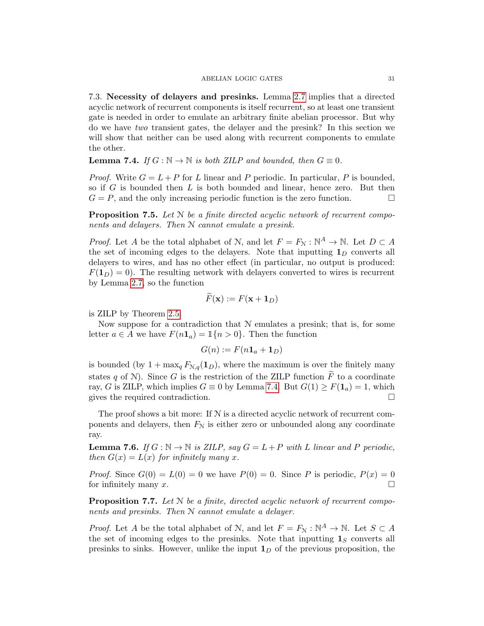7.3. Necessity of delayers and presinks. Lemma [2.7](#page-10-0) implies that a directed acyclic network of recurrent components is itself recurrent, so at least one transient gate is needed in order to emulate an arbitrary finite abelian processor. But why do we have two transient gates, the delayer and the presink? In this section we will show that neither can be used along with recurrent components to emulate the other.

<span id="page-30-0"></span>**Lemma 7.4.** If  $G : \mathbb{N} \to \mathbb{N}$  is both ZILP and bounded, then  $G \equiv 0$ .

*Proof.* Write  $G = L + P$  for L linear and P periodic. In particular, P is bounded, so if  $G$  is bounded then  $L$  is both bounded and linear, hence zero. But then  $G = P$ , and the only increasing periodic function is the zero function.

**Proposition 7.5.** Let  $N$  be a finite directed acyclic network of recurrent components and delayers. Then N cannot emulate a presink.

*Proof.* Let A be the total alphabet of N, and let  $F = F_N : \mathbb{N}^A \to \mathbb{N}$ . Let  $D \subset A$ the set of incoming edges to the delayers. Note that inputting  $\mathbf{1}_D$  converts all delayers to wires, and has no other effect (in particular, no output is produced:  $F(1_D) = 0$ . The resulting network with delayers converted to wires is recurrent by Lemma [2.7,](#page-10-0) so the function

$$
F(\mathbf{x}) := F(\mathbf{x} + \mathbf{1}_D)
$$

is ZILP by Theorem [2.5.](#page-8-0)

Now suppose for a contradiction that  $N$  emulates a presink; that is, for some letter  $a \in A$  we have  $F(n1_a) = 1\{n > 0\}$ . Then the function

$$
G(n) := F(n\mathbf{1}_a + \mathbf{1}_D)
$$

is bounded (by  $1 + \max_q F_{N,q}(1_p)$ , where the maximum is over the finitely many states q of N). Since G is the restriction of the ZILP function  $\tilde{F}$  to a coordinate ray, G is ZILP, which implies  $G \equiv 0$  by Lemma [7.4.](#page-30-0) But  $G(1) \geq F(1_a) = 1$ , which gives the required contradiction.

The proof shows a bit more: If  $N$  is a directed acyclic network of recurrent components and delayers, then  $F<sub>N</sub>$  is either zero or unbounded along any coordinate ray.

<span id="page-30-1"></span>**Lemma 7.6.** If  $G : \mathbb{N} \to \mathbb{N}$  is ZILP, say  $G = L + P$  with L linear and P periodic, then  $G(x) = L(x)$  for infinitely many x.

*Proof.* Since  $G(0) = L(0) = 0$  we have  $P(0) = 0$ . Since P is periodic,  $P(x) = 0$ for infinitely many x.  $\Box$ 

**Proposition 7.7.** Let  $N$  be a finite, directed acyclic network of recurrent components and presinks. Then N cannot emulate a delayer.

*Proof.* Let A be the total alphabet of N, and let  $F = F_N : \mathbb{N}^A \to \mathbb{N}$ . Let  $S \subset A$ the set of incoming edges to the presinks. Note that inputting  $\mathbf{1}_S$  converts all presinks to sinks. However, unlike the input  $1<sub>D</sub>$  of the previous proposition, the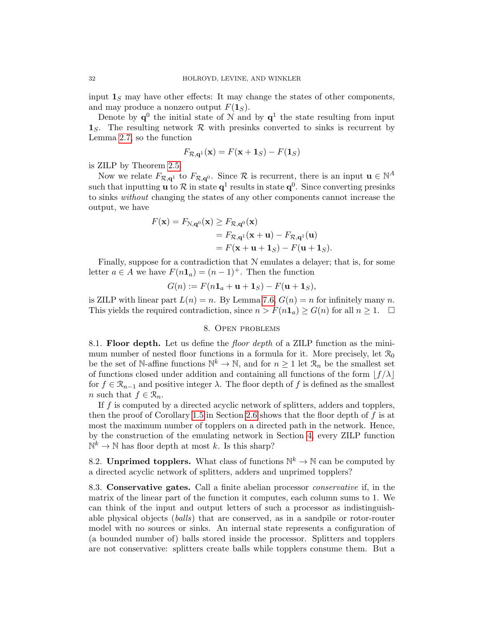input  $\mathbf{1}_S$  may have other effects: It may change the states of other components, and may produce a nonzero output  $F(1<sub>S</sub>)$ .

Denote by  $q^0$  the initial state of N and by  $q^1$  the state resulting from input  $\mathbf{1}_S$ . The resulting network  $\mathcal R$  with presinks converted to sinks is recurrent by Lemma [2.7,](#page-10-0) so the function

$$
F_{\mathcal{R},\mathbf{q}^1}(\mathbf{x}) = F(\mathbf{x} + \mathbf{1}_S) - F(\mathbf{1}_S)
$$

is ZILP by Theorem [2.5.](#page-8-0)

Now we relate  $F_{\mathcal{R},\mathbf{q}^1}$  to  $F_{\mathcal{R},\mathbf{q}^0}$ . Since  $\mathcal{R}$  is recurrent, there is an input  $\mathbf{u} \in \mathbb{N}^A$ such that inputting **u** to  $\mathcal{R}$  in state  $\mathbf{q}^1$  results in state  $\mathbf{q}^0$ . Since converting presinks to sinks without changing the states of any other components cannot increase the output, we have

$$
F(\mathbf{x}) = F_{\mathcal{N},\mathbf{q}^0}(\mathbf{x}) \ge F_{\mathcal{R},\mathbf{q}^0}(\mathbf{x})
$$
  
=  $F_{\mathcal{R},\mathbf{q}^1}(\mathbf{x} + \mathbf{u}) - F_{\mathcal{R},\mathbf{q}^1}(\mathbf{u})$   
=  $F(\mathbf{x} + \mathbf{u} + \mathbf{1}_S) - F(\mathbf{u} + \mathbf{1}_S).$ 

Finally, suppose for a contradiction that N emulates a delayer; that is, for some letter  $a \in A$  we have  $F(n\mathbf{1}_a) = (n-1)^+$ . Then the function

$$
G(n) := F(n\mathbf{1}_a + \mathbf{u} + \mathbf{1}_S) - F(\mathbf{u} + \mathbf{1}_S),
$$

is ZILP with linear part  $L(n) = n$ . By Lemma [7.6,](#page-30-1)  $G(n) = n$  for infinitely many n. This yields the required contradiction, since  $n > F(n1_a) \ge G(n)$  for all  $n \ge 1$ .

### 8. Open problems

<span id="page-31-0"></span>8.1. Floor depth. Let us define the *floor depth* of a ZILP function as the minimum number of nested floor functions in a formula for it. More precisely, let  $\mathcal{R}_0$ be the set of N-affine functions  $\mathbb{N}^k \to \mathbb{N}$ , and for  $n \geq 1$  let  $\mathcal{R}_n$  be the smallest set of functions closed under addition and containing all functions of the form  $|f/\lambda|$ for  $f \in \mathcal{R}_{n-1}$  and positive integer  $\lambda$ . The floor depth of f is defined as the smallest *n* such that  $f \in \mathcal{R}_n$ .

If f is computed by a directed acyclic network of splitters, adders and topplers, then the proof of Corollary [1.5](#page-5-1) in Section [2.6](#page-11-2) shows that the floor depth of  $f$  is at most the maximum number of topplers on a directed path in the network. Hence, by the construction of the emulating network in Section [4,](#page-14-1) every ZILP function  $\mathbb{N}^k \to \mathbb{N}$  has floor depth at most k. Is this sharp?

8.2. Unprimed topplers. What class of functions  $\mathbb{N}^k \to \mathbb{N}$  can be computed by a directed acyclic network of splitters, adders and unprimed topplers?

8.3. Conservative gates. Call a finite abelian processor conservative if, in the matrix of the linear part of the function it computes, each column sums to 1. We can think of the input and output letters of such a processor as indistinguishable physical objects (balls) that are conserved, as in a sandpile or rotor-router model with no sources or sinks. An internal state represents a configuration of (a bounded number of) balls stored inside the processor. Splitters and topplers are not conservative: splitters create balls while topplers consume them. But a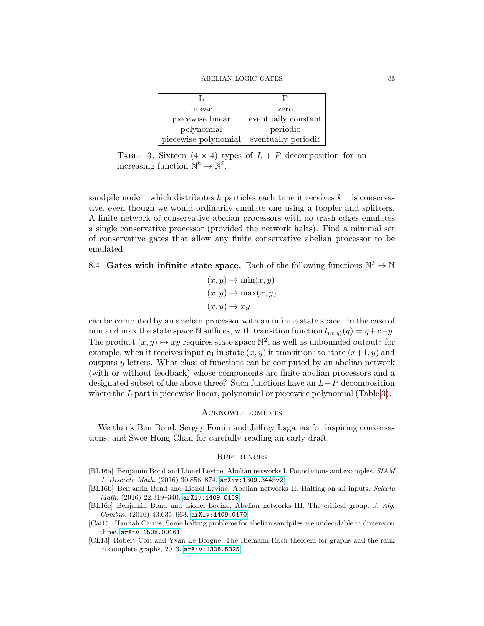| linear               | zero                |  |  |  |
|----------------------|---------------------|--|--|--|
| piecewise linear     | eventually constant |  |  |  |
| polynomial           | periodic            |  |  |  |
| piecewise polynomial | eventually periodic |  |  |  |

<span id="page-32-5"></span>TABLE 3. Sixteen  $(4 \times 4)$  types of  $L + P$  decomposition for an increasing function  $\mathbb{N}^k \to \mathbb{N}^\ell$ .

sandpile node – which distributes k particles each time it receives  $k$  – is conservative, even though we would ordinarily emulate one using a toppler and splitters. A finite network of conservative abelian processors with no trash edges emulates a single conservative processor (provided the network halts). Find a minimal set of conservative gates that allow any finite conservative abelian processor to be emulated.

8.4. Gates with infinite state space. Each of the following functions  $\mathbb{N}^2 \to \mathbb{N}$ 

$$
(x, y) \mapsto \min(x, y)
$$

$$
(x, y) \mapsto \max(x, y)
$$

$$
(x, y) \mapsto xy
$$

can be computed by an abelian processor with an infinite state space. In the case of min and max the state space N suffices, with transition function  $t_{(x,y)}(q) = q+x-y$ . The product  $(x, y) \mapsto xy$  requires state space  $\mathbb{N}^2$ , as well as unbounded output: for example, when it receives input  $e_1$  in state  $(x, y)$  it transitions to state  $(x+1, y)$  and outputs  $y$  letters. What class of functions can be computed by an abelian network (with or without feedback) whose components are finite abelian processors and a designated subset of the above three? Such functions have an  $L+P$  decomposition where the  $L$  part is piecewise linear, polynomial or piecewise polynomial (Table [3\)](#page-32-5).

#### **ACKNOWLEDGMENTS**

We thank Ben Bond, Sergey Fomin and Jeffrey Lagarias for inspiring conversations, and Swee Hong Chan for carefully reading an early draft.

### **REFERENCES**

- <span id="page-32-0"></span>[BL16a] Benjamin Bond and Lionel Levine, Abelian networks I. Foundations and examples. SIAM J. Discrete Math. (2016) 30:856–874. [arXiv:1309.3445v2](http://arxiv.org/abs/1309.3445v2)
- <span id="page-32-3"></span>[BL16b] Benjamin Bond and Lionel Levine, Abelian networks II. Halting on all inputs. Selecta Math. (2016) 22:319–340. [arXiv:1409.0169](http://arxiv.org/abs/1409.0169)
- <span id="page-32-4"></span>[BL16c] Benjamin Bond and Lionel Levine, Abelian networks III. The critical group. J. Alg. Combin. (2016) 43:635–663. [arXiv:1409.0170](http://arxiv.org/abs/1409.0170)
- <span id="page-32-2"></span>[Cai15] Hannah Cairns, Some halting problems for abelian sandpiles are undecidable in dimension three. [arXiv:1508.00161](http://arxiv.org/abs/1508.00161)
- <span id="page-32-1"></span>[CL13] Robert Cori and Yvan Le Borgne, The Riemann-Roch theorem for graphs and the rank in complete graphs, 2013. [arXiv:1308.5325](http://arxiv.org/abs/1308.5325)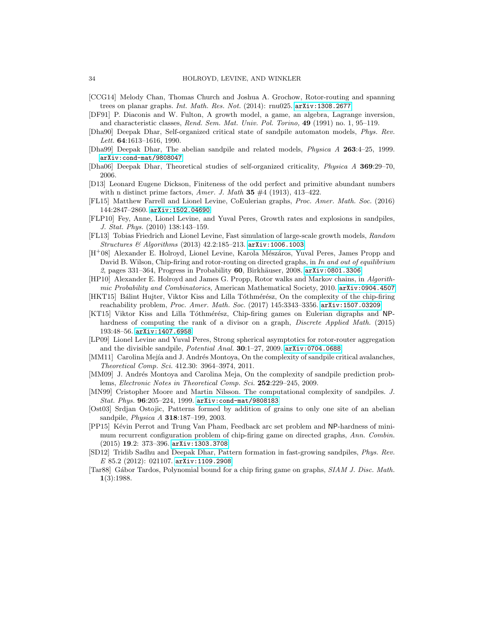- <span id="page-33-7"></span>[CCG14] Melody Chan, Thomas Church and Joshua A. Grochow, Rotor-routing and spanning trees on planar graphs. Int. Math. Res. Not. (2014): rnu025.  $arXiv:1308.2677$
- <span id="page-33-17"></span>[DF91] P. Diaconis and W. Fulton, A growth model, a game, an algebra, Lagrange inversion, and characteristic classes, Rend. Sem. Mat. Univ. Pol. Torino, 49 (1991) no. 1, 95–119.
- <span id="page-33-16"></span>[Dha90] Deepak Dhar, Self-organized critical state of sandpile automaton models, Phys. Rev. Lett. 64:1613–1616, 1990.
- <span id="page-33-0"></span>[Dha99] Deepak Dhar, The abelian sandpile and related models, Physica A 263:4–25, 1999. [arXiv:cond-mat/9808047](http://arxiv.org/abs/cond-mat/9808047)
- <span id="page-33-1"></span>[Dha06] Deepak Dhar, Theoretical studies of self-organized criticality, Physica A 369:29–70, 2006.
- <span id="page-33-19"></span>[D13] Leonard Eugene Dickson, Finiteness of the odd perfect and primitive abundant numbers with n distinct prime factors, Amer. J. Math  $35 \#4$  (1913), 413-422.
- <span id="page-33-10"></span>[FL15] Matthew Farrell and Lionel Levine, CoEulerian graphs, Proc. Amer. Math. Soc. (2016) 144:2847–2860. [arXiv:1502.04690](http://arxiv.org/abs/1502.04690)
- [FLP10] Fey, Anne, Lionel Levine, and Yuval Peres, Growth rates and explosions in sandpiles, J. Stat. Phys. (2010) 138:143–159.
- <span id="page-33-6"></span>[FL13] Tobias Friedrich and Lionel Levine, Fast simulation of large-scale growth models, Random Structures & Algorithms (2013) 42.2:185–213. [arXiv:1006.1003](http://arxiv.org/abs/1006.1003).
- <span id="page-33-18"></span>[H<sup>+</sup>08] Alexander E. Holroyd, Lionel Levine, Karola Mészáros, Yuval Peres, James Propp and David B. Wilson, Chip-firing and rotor-routing on directed graphs, in In and out of equilibrium 2, pages  $331-364$ , Progress in Probability 60, Birkhäuser, 2008. [arXiv:0801.3306](http://arxiv.org/abs/0801.3306)
- <span id="page-33-5"></span>[HP10] Alexander E. Holroyd and James G. Propp, Rotor walks and Markov chains, in Algorithmic Probability and Combinatorics, American Mathematical Society, 2010. [arXiv:0904.4507](http://arxiv.org/abs/0904.4507)
- <span id="page-33-13"></span>[HKT15] Bálint Hujter, Viktor Kiss and Lilla Tóthmérész, On the complexity of the chip-firing reachability problem, Proc. Amer. Math. Soc. (2017) 145:3343–3356. [arXiv:1507.03209](http://arxiv.org/abs/1507.03209)
- <span id="page-33-14"></span>[KT15] Viktor Kiss and Lilla Tóthmérész, Chip-firing games on Eulerian digraphs and NPhardness of computing the rank of a divisor on a graph, *Discrete Applied Math.* (2015) 193:48–56. [arXiv:1407.6958](http://arxiv.org/abs/1407.6958)
- <span id="page-33-4"></span>[LP09] Lionel Levine and Yuval Peres, Strong spherical asymptotics for rotor-router aggregation and the divisible sandpile, Potential Anal. 30:1–27, 2009. [arXiv:0704.0688](http://arxiv.org/abs/0704.0688)
- <span id="page-33-12"></span>[MM11] Carolina Mejía and J. Andrés Montoya, On the complexity of sandpile critical avalanches, Theoretical Comp. Sci. 412.30: 3964–3974, 2011.
- <span id="page-33-11"></span>[MM09] J. Andrés Montoya and Carolina Meja, On the complexity of sandpile prediction problems, Electronic Notes in Theoretical Comp. Sci. 252:229–245, 2009.
- <span id="page-33-9"></span>[MN99] Cristopher Moore and Martin Nilsson. The computational complexity of sandpiles. J. Stat. Phys. 96:205–224, 1999. [arXiv:cond-mat/9808183](http://arxiv.org/abs/cond-mat/9808183)
- <span id="page-33-2"></span>[Ost03] Srdjan Ostojic, Patterns formed by addition of grains to only one site of an abelian sandpile, Physica A 318:187–199, 2003.
- <span id="page-33-15"></span>[PP15] Kévin Perrot and Trung Van Pham, Feedback arc set problem and NP-hardness of minimum recurrent configuration problem of chip-firing game on directed graphs, Ann. Combin. (2015) 19.2: 373–396. [arXiv:1303.3708](http://arxiv.org/abs/1303.3708)
- <span id="page-33-3"></span>[SD12] Tridib Sadhu and Deepak Dhar, Pattern formation in fast-growing sandpiles, Phys. Rev. E 85.2 (2012): 021107. [arXiv:1109.2908](http://arxiv.org/abs/1109.2908)
- <span id="page-33-8"></span>[Tar88] Gábor Tardos, Polynomial bound for a chip firing game on graphs, SIAM J. Disc. Math. 1(3):1988.